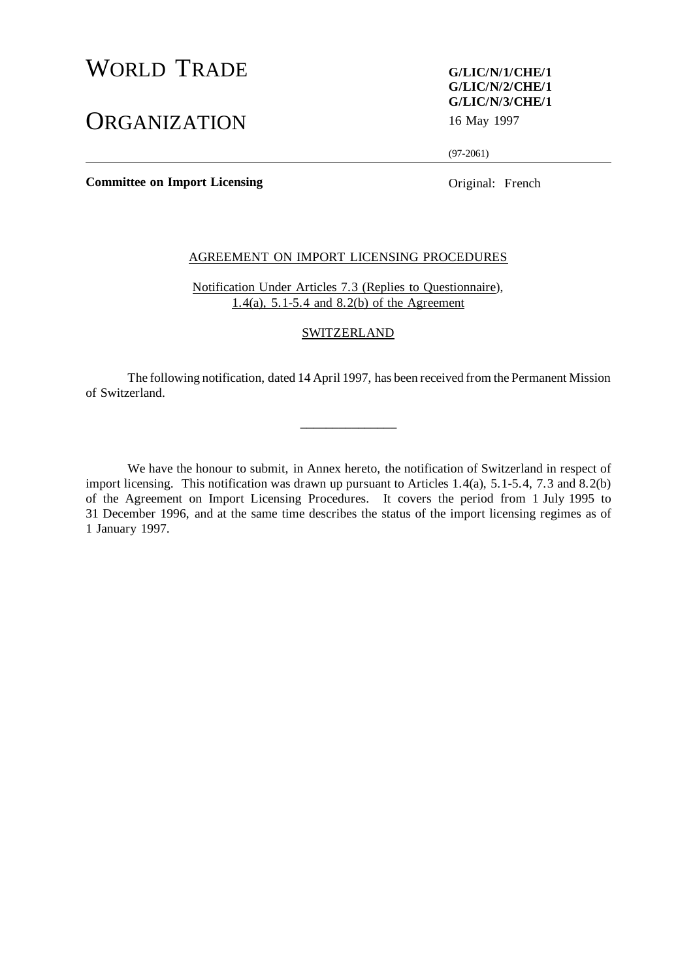# WORLD TRADE **G/LIC/N/1/CHE/1**

# ORGANIZATION 16 May 1997

# **G/LIC/N/2/CHE/1 G/LIC/N/3/CHE/1**

(97-2061)

**Committee on Import Licensing Committee on Import Licensing Original: French** 

# AGREEMENT ON IMPORT LICENSING PROCEDURES

Notification Under Articles 7.3 (Replies to Questionnaire), 1.4(a), 5.1-5.4 and 8.2(b) of the Agreement

#### **SWITZERLAND**

The following notification, dated 14 April 1997, has been received from the Permanent Mission of Switzerland.

 $\overline{\phantom{a}}$  , where  $\overline{\phantom{a}}$ 

We have the honour to submit, in Annex hereto, the notification of Switzerland in respect of import licensing. This notification was drawn up pursuant to Articles 1.4(a), 5.1-5.4, 7.3 and 8.2(b) of the Agreement on Import Licensing Procedures. It covers the period from 1 July 1995 to 31 December 1996, and at the same time describes the status of the import licensing regimes as of 1 January 1997.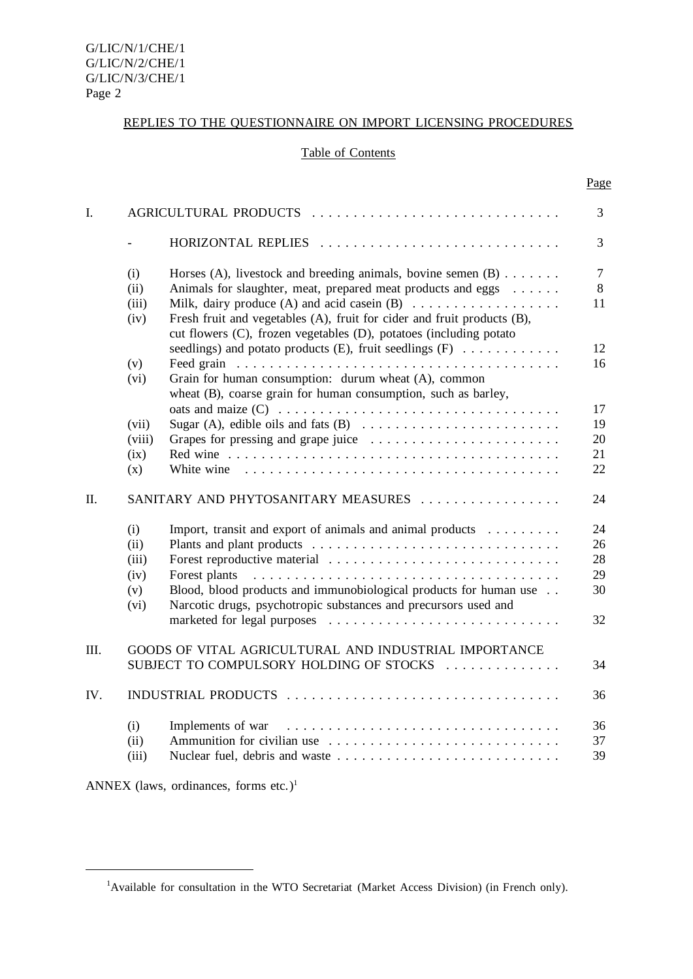## REPLIES TO THE QUESTIONNAIRE ON IMPORT LICENSING PROCEDURES

## Table of Contents

Page

| $\mathbf{I}$ . | AGRICULTURAL PRODUCTS                       |                                                                                                                                                                                                                                                                                                                                   |                                  |  |
|----------------|---------------------------------------------|-----------------------------------------------------------------------------------------------------------------------------------------------------------------------------------------------------------------------------------------------------------------------------------------------------------------------------------|----------------------------------|--|
|                |                                             |                                                                                                                                                                                                                                                                                                                                   | 3                                |  |
|                | (i)<br>(ii)<br>(iii)<br>(iv)                | Horses (A), livestock and breeding animals, bovine semen $(B)$<br>Animals for slaughter, meat, prepared meat products and eggs<br>Milk, dairy produce (A) and acid case in $(B)$<br>Fresh fruit and vegetables (A), fruit for cider and fruit products (B),<br>cut flowers (C), frozen vegetables (D), potatoes (including potato | $\overline{7}$<br>8<br>11        |  |
|                | (v)<br>(vi)                                 | seedlings) and potato products (E), fruit seedlings (F) $\dots \dots \dots$<br>Grain for human consumption: durum wheat (A), common<br>wheat (B), coarse grain for human consumption, such as barley,                                                                                                                             | 12<br>16                         |  |
|                | (vii)<br>(viii)<br>(ix)<br>(x)              |                                                                                                                                                                                                                                                                                                                                   | 17<br>19<br>20<br>21<br>22       |  |
| П.             | SANITARY AND PHYTOSANITARY MEASURES<br>24   |                                                                                                                                                                                                                                                                                                                                   |                                  |  |
|                | (i)<br>(ii)<br>(iii)<br>(iv)<br>(v)<br>(vi) | Import, transit and export of animals and animal products<br>Blood, blood products and immunobiological products for human use<br>Narcotic drugs, psychotropic substances and precursors used and                                                                                                                                 | 24<br>26<br>28<br>29<br>30<br>32 |  |
| III.           |                                             | GOODS OF VITAL AGRICULTURAL AND INDUSTRIAL IMPORTANCE<br>SUBJECT TO COMPULSORY HOLDING OF STOCKS<br>34                                                                                                                                                                                                                            |                                  |  |
| IV.            | INDUSTRIAL PRODUCTS                         |                                                                                                                                                                                                                                                                                                                                   |                                  |  |
|                | (i)<br>(ii)<br>(iii)                        | Ammunition for civilian use                                                                                                                                                                                                                                                                                                       | 36<br>37<br>39                   |  |

ANNEX (laws, ordinances, forms etc.)<sup>1</sup>

<sup>&</sup>lt;sup>1</sup>Available for consultation in the WTO Secretariat (Market Access Division) (in French only).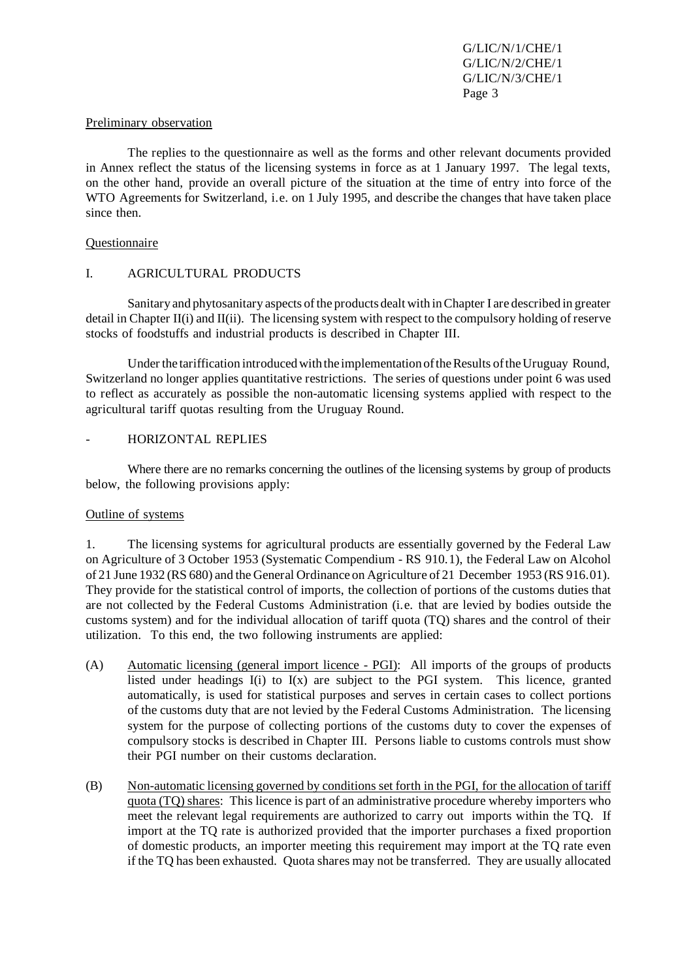#### Preliminary observation

The replies to the questionnaire as well as the forms and other relevant documents provided in Annex reflect the status of the licensing systems in force as at 1 January 1997. The legal texts, on the other hand, provide an overall picture of the situation at the time of entry into force of the WTO Agreements for Switzerland, i.e. on 1 July 1995, and describe the changes that have taken place since then.

#### **Questionnaire**

#### I. AGRICULTURAL PRODUCTS

Sanitary and phytosanitary aspects of the products dealt with in Chapter I are described in greater detail in Chapter II(i) and II(ii). The licensing system with respect to the compulsory holding of reserve stocks of foodstuffs and industrial products is described in Chapter III.

Under the tariffication introduced with the implementation of the Results of the Uruguay Round, Switzerland no longer applies quantitative restrictions. The series of questions under point 6 was used to reflect as accurately as possible the non-automatic licensing systems applied with respect to the agricultural tariff quotas resulting from the Uruguay Round.

#### HORIZONTAL REPLIES

Where there are no remarks concerning the outlines of the licensing systems by group of products below, the following provisions apply:

#### Outline of systems

1. The licensing systems for agricultural products are essentially governed by the Federal Law on Agriculture of 3 October 1953 (Systematic Compendium - RS 910.1), the Federal Law on Alcohol of 21 June 1932 (RS 680) and the General Ordinance on Agriculture of 21 December 1953 (RS 916.01). They provide for the statistical control of imports, the collection of portions of the customs duties that are not collected by the Federal Customs Administration (i.e. that are levied by bodies outside the customs system) and for the individual allocation of tariff quota (TQ) shares and the control of their utilization. To this end, the two following instruments are applied:

- (A) Automatic licensing (general import licence PGI): All imports of the groups of products listed under headings I(i) to I(x) are subject to the PGI system. This licence, granted automatically, is used for statistical purposes and serves in certain cases to collect portions of the customs duty that are not levied by the Federal Customs Administration. The licensing system for the purpose of collecting portions of the customs duty to cover the expenses of compulsory stocks is described in Chapter III. Persons liable to customs controls must show their PGI number on their customs declaration.
- (B) Non-automatic licensing governed by conditions set forth in the PGI, for the allocation of tariff quota (TQ) shares: This licence is part of an administrative procedure whereby importers who meet the relevant legal requirements are authorized to carry out imports within the TQ. If import at the TQ rate is authorized provided that the importer purchases a fixed proportion of domestic products, an importer meeting this requirement may import at the TQ rate even if the TQ has been exhausted. Quota shares may not be transferred. They are usually allocated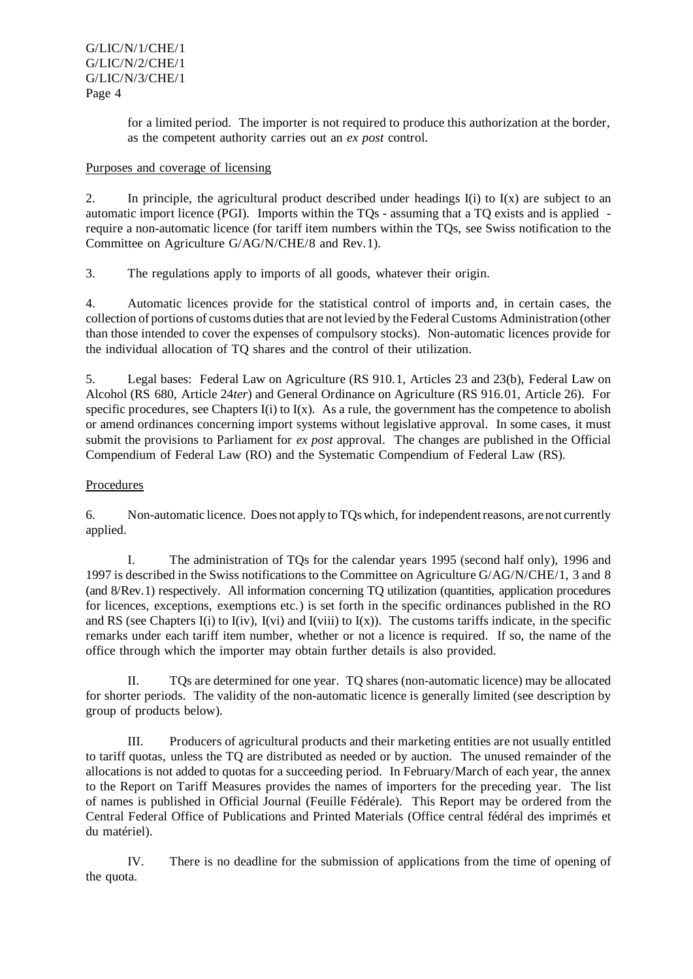for a limited period. The importer is not required to produce this authorization at the border, as the competent authority carries out an *ex post* control.

# Purposes and coverage of licensing

2. In principle, the agricultural product described under headings  $I(i)$  to  $I(x)$  are subject to an automatic import licence (PGI). Imports within the TQs - assuming that a TQ exists and is applied require a non-automatic licence (for tariff item numbers within the TQs, see Swiss notification to the Committee on Agriculture G/AG/N/CHE/8 and Rev.1).

3. The regulations apply to imports of all goods, whatever their origin.

4. Automatic licences provide for the statistical control of imports and, in certain cases, the collection of portions of customs duties that are not levied by the Federal Customs Administration (other than those intended to cover the expenses of compulsory stocks). Non-automatic licences provide for the individual allocation of TQ shares and the control of their utilization.

5. Legal bases: Federal Law on Agriculture (RS 910.1, Articles 23 and 23(b), Federal Law on Alcohol (RS 680, Article 24*ter*) and General Ordinance on Agriculture (RS 916.01, Article 26). For specific procedures, see Chapters  $I(i)$  to  $I(x)$ . As a rule, the government has the competence to abolish or amend ordinances concerning import systems without legislative approval. In some cases, it must submit the provisions to Parliament for *ex post* approval. The changes are published in the Official Compendium of Federal Law (RO) and the Systematic Compendium of Federal Law (RS).

# Procedures

6. Non-automatic licence. Does not apply to TQs which, for independent reasons, are not currently applied.

I. The administration of TQs for the calendar years 1995 (second half only), 1996 and 1997 is described in the Swiss notificationsto the Committee on Agriculture G/AG/N/CHE/1, 3 and 8 (and 8/Rev.1) respectively. All information concerning TQ utilization (quantities, application procedures for licences, exceptions, exemptions etc.) is set forth in the specific ordinances published in the RO and RS (see Chapters I(i) to I(iv), I(vi) and I(viii) to I(x)). The customs tariffs indicate, in the specific remarks under each tariff item number, whether or not a licence is required. If so, the name of the office through which the importer may obtain further details is also provided.

II. TQs are determined for one year. TQ shares (non-automatic licence) may be allocated for shorter periods. The validity of the non-automatic licence is generally limited (see description by group of products below).

III. Producers of agricultural products and their marketing entities are not usually entitled to tariff quotas, unless the TQ are distributed as needed or by auction. The unused remainder of the allocations is not added to quotas for a succeeding period. In February/March of each year, the annex to the Report on Tariff Measures provides the names of importers for the preceding year. The list of names is published in Official Journal (Feuille Fédérale). This Report may be ordered from the Central Federal Office of Publications and Printed Materials (Office central fédéral des imprimés et du matériel).

IV. There is no deadline for the submission of applications from the time of opening of the quota.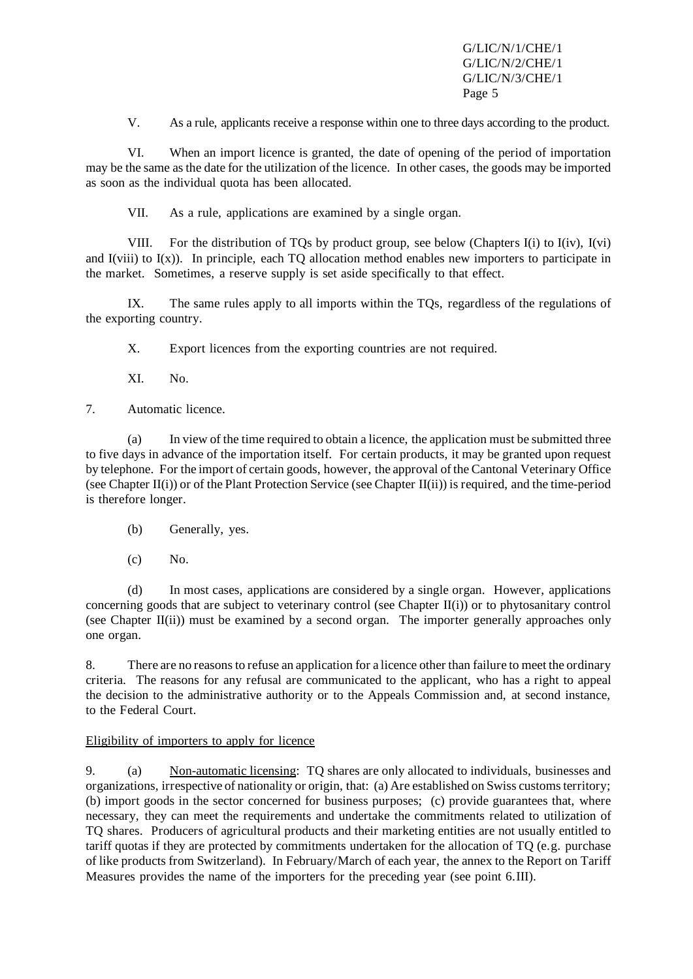V. As a rule, applicants receive a response within one to three days according to the product.

VI. When an import licence is granted, the date of opening of the period of importation may be the same asthe date for the utilization of the licence. In other cases, the goods may be imported as soon as the individual quota has been allocated.

VII. As a rule, applications are examined by a single organ.

VIII. For the distribution of TQs by product group, see below (Chapters I(i) to I(iv), I(vi) and  $I(viii)$  to  $I(x)$ ). In principle, each TO allocation method enables new importers to participate in the market. Sometimes, a reserve supply is set aside specifically to that effect.

IX. The same rules apply to all imports within the TQs, regardless of the regulations of the exporting country.

X. Export licences from the exporting countries are not required.

XI. No.

7. Automatic licence.

(a) In view of the time required to obtain a licence, the application must be submitted three to five days in advance of the importation itself. For certain products, it may be granted upon request by telephone. For the import of certain goods, however, the approval of the Cantonal Veterinary Office (see Chapter II(i)) or of the Plant Protection Service (see Chapter II(ii)) is required, and the time-period is therefore longer.

(b) Generally, yes.

(c) No.

(d) In most cases, applications are considered by a single organ. However, applications concerning goods that are subject to veterinary control (see Chapter II(i)) or to phytosanitary control (see Chapter II(ii)) must be examined by a second organ. The importer generally approaches only one organ.

8. There are no reasons to refuse an application for a licence other than failure to meet the ordinary criteria. The reasons for any refusal are communicated to the applicant, who has a right to appeal the decision to the administrative authority or to the Appeals Commission and, at second instance, to the Federal Court.

# Eligibility of importers to apply for licence

9. (a) Non-automatic licensing: TQ shares are only allocated to individuals, businesses and organizations, irrespective of nationality or origin, that: (a) Are established on Swiss customsterritory; (b) import goods in the sector concerned for business purposes; (c) provide guarantees that, where necessary, they can meet the requirements and undertake the commitments related to utilization of TQ shares. Producers of agricultural products and their marketing entities are not usually entitled to tariff quotas if they are protected by commitments undertaken for the allocation of TQ (e.g. purchase of like products from Switzerland). In February/March of each year, the annex to the Report on Tariff Measures provides the name of the importers for the preceding year (see point 6.III).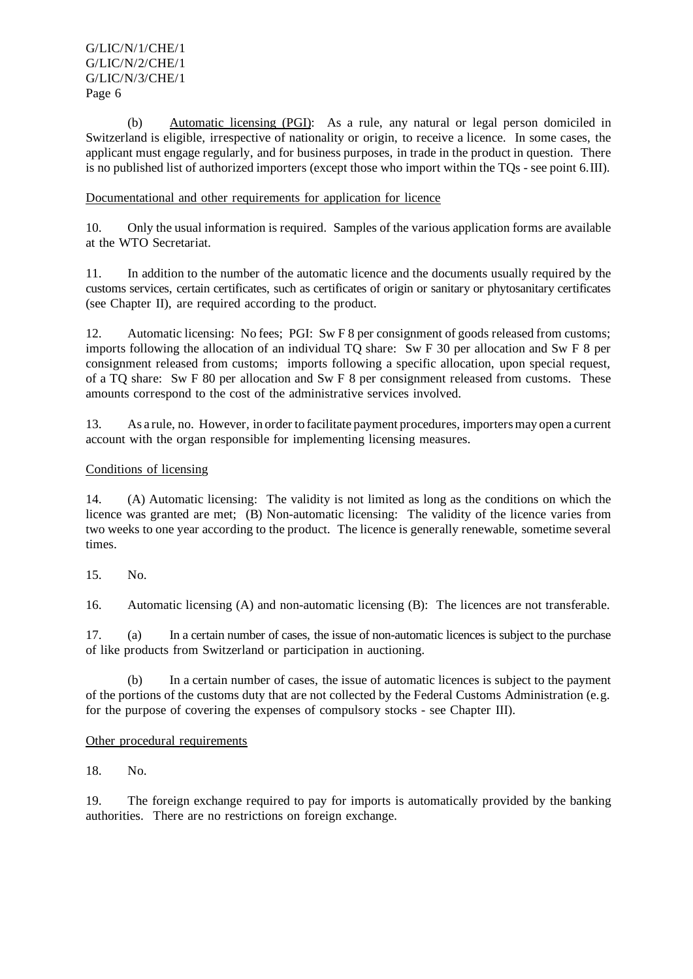(b) Automatic licensing (PGI): As a rule, any natural or legal person domiciled in Switzerland is eligible, irrespective of nationality or origin, to receive a licence. In some cases, the applicant must engage regularly, and for business purposes, in trade in the product in question. There is no published list of authorized importers (except those who import within the TQs - see point 6.III).

# Documentational and other requirements for application for licence

10. Only the usual information is required. Samples of the various application forms are available at the WTO Secretariat.

11. In addition to the number of the automatic licence and the documents usually required by the customs services, certain certificates, such as certificates of origin or sanitary or phytosanitary certificates (see Chapter II), are required according to the product.

12. Automatic licensing: No fees; PGI: Sw F 8 per consignment of goods released from customs; imports following the allocation of an individual TQ share: Sw F 30 per allocation and Sw F 8 per consignment released from customs; imports following a specific allocation, upon special request, of a TQ share: Sw F 80 per allocation and Sw F 8 per consignment released from customs. These amounts correspond to the cost of the administrative services involved.

13. As a rule, no. However, in orderto facilitate payment procedures,importersmay open a current account with the organ responsible for implementing licensing measures.

## Conditions of licensing

14. (A) Automatic licensing: The validity is not limited as long as the conditions on which the licence was granted are met; (B) Non-automatic licensing: The validity of the licence varies from two weeks to one year according to the product. The licence is generally renewable, sometime several times.

15. No.

16. Automatic licensing (A) and non-automatic licensing (B): The licences are not transferable.

17. (a) In a certain number of cases, the issue of non-automatic licences is subject to the purchase of like products from Switzerland or participation in auctioning.

(b) In a certain number of cases, the issue of automatic licences is subject to the payment of the portions of the customs duty that are not collected by the Federal Customs Administration (e.g. for the purpose of covering the expenses of compulsory stocks - see Chapter III).

Other procedural requirements

18. No.

19. The foreign exchange required to pay for imports is automatically provided by the banking authorities. There are no restrictions on foreign exchange.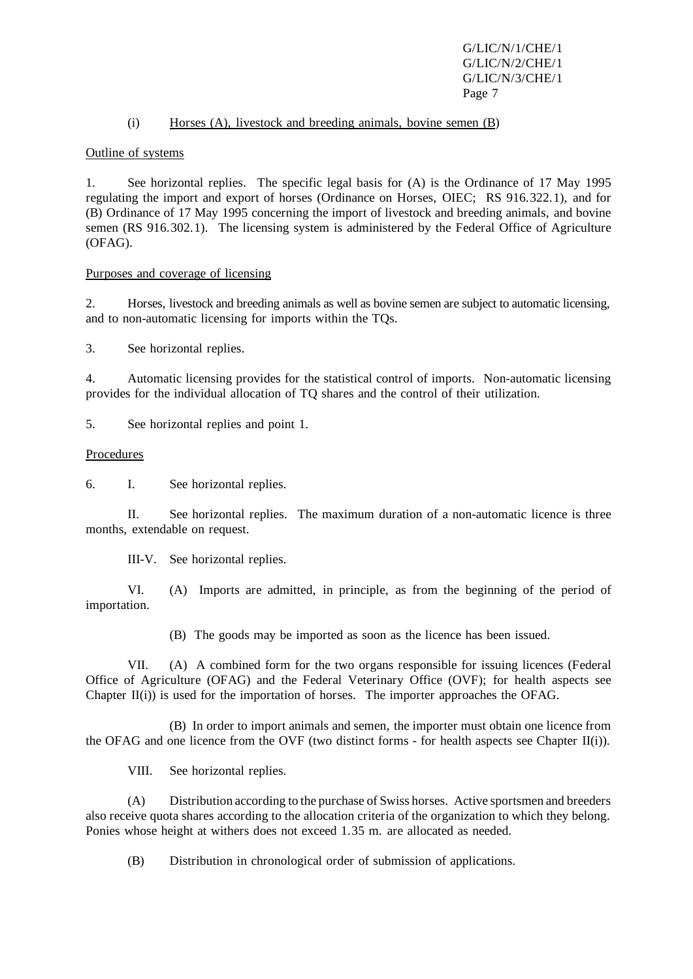#### (i) Horses (A), livestock and breeding animals, bovine semen (B)

#### Outline of systems

1. See horizontal replies. The specific legal basis for (A) is the Ordinance of 17 May 1995 regulating the import and export of horses (Ordinance on Horses, OIEC; RS 916.322.1), and for (B) Ordinance of 17 May 1995 concerning the import of livestock and breeding animals, and bovine semen (RS 916.302.1). The licensing system is administered by the Federal Office of Agriculture (OFAG).

## Purposes and coverage of licensing

2. Horses, livestock and breeding animals as well as bovine semen are subject to automatic licensing, and to non-automatic licensing for imports within the TQs.

3. See horizontal replies.

4. Automatic licensing provides for the statistical control of imports. Non-automatic licensing provides for the individual allocation of TQ shares and the control of their utilization.

5. See horizontal replies and point 1.

#### Procedures

6. I. See horizontal replies.

II. See horizontal replies. The maximum duration of a non-automatic licence is three months, extendable on request.

III-V. See horizontal replies.

VI. (A) Imports are admitted, in principle, as from the beginning of the period of importation.

(B) The goods may be imported as soon as the licence has been issued.

VII. (A) A combined form for the two organs responsible for issuing licences (Federal Office of Agriculture (OFAG) and the Federal Veterinary Office (OVF); for health aspects see Chapter  $II(i)$ ) is used for the importation of horses. The importer approaches the OFAG.

(B) In order to import animals and semen, the importer must obtain one licence from the OFAG and one licence from the OVF (two distinct forms - for health aspects see Chapter II(i)).

VIII. See horizontal replies.

(A) Distribution according to the purchase of Swiss horses. Active sportsmen and breeders also receive quota shares according to the allocation criteria of the organization to which they belong. Ponies whose height at withers does not exceed 1.35 m. are allocated as needed.

(B) Distribution in chronological order of submission of applications.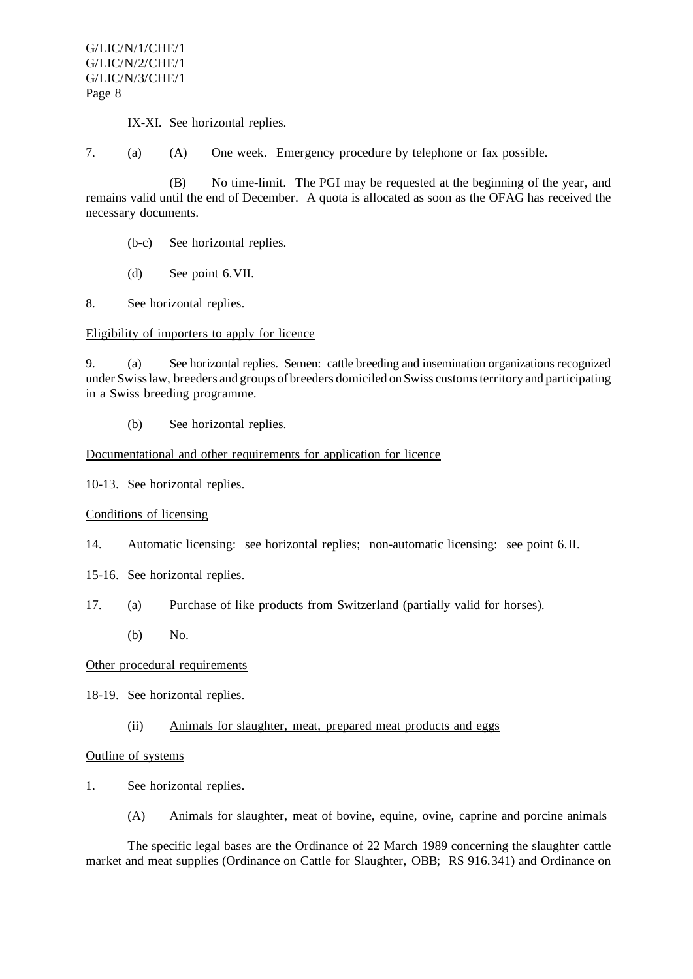IX-XI. See horizontal replies.

7. (a) (A) One week. Emergency procedure by telephone or fax possible.

(B) No time-limit. The PGI may be requested at the beginning of the year, and remains valid until the end of December. A quota is allocated as soon as the OFAG has received the necessary documents.

(b-c) See horizontal replies.

(d) See point 6.VII.

8. See horizontal replies.

#### Eligibility of importers to apply for licence

9. (a) See horizontal replies. Semen: cattle breeding and insemination organizationsrecognized under Swisslaw, breeders and groups of breeders domiciled onSwiss customsterritory and participating in a Swiss breeding programme.

(b) See horizontal replies.

#### Documentational and other requirements for application for licence

10-13. See horizontal replies.

#### Conditions of licensing

- 14. Automatic licensing: see horizontal replies; non-automatic licensing: see point 6.II.
- 15-16. See horizontal replies.
- 17. (a) Purchase of like products from Switzerland (partially valid for horses).
	- (b) No.

#### Other procedural requirements

18-19. See horizontal replies.

#### (ii) Animals for slaughter, meat, prepared meat products and eggs

#### Outline of systems

- 1. See horizontal replies.
	- (A) Animals for slaughter, meat of bovine, equine, ovine, caprine and porcine animals

The specific legal bases are the Ordinance of 22 March 1989 concerning the slaughter cattle market and meat supplies (Ordinance on Cattle for Slaughter, OBB; RS 916.341) and Ordinance on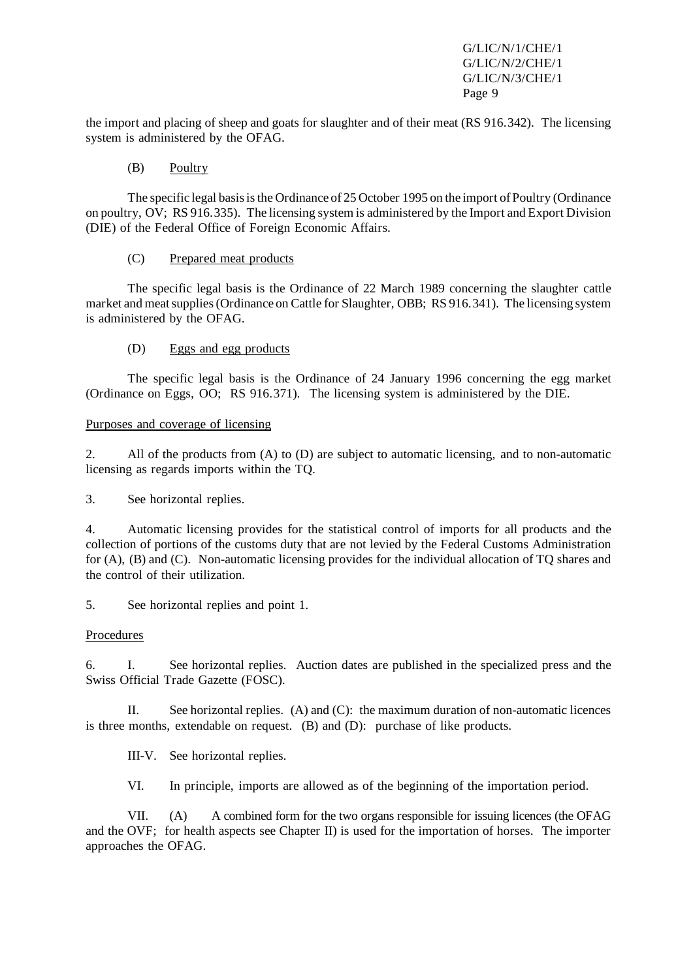the import and placing of sheep and goats for slaughter and of their meat (RS 916.342). The licensing system is administered by the OFAG.

## (B) Poultry

The specific legal basis is the Ordinance of 25 October 1995 on the import of Poultry (Ordinance on poultry, OV; RS 916.335). The licensing system is administered by the Import and Export Division (DIE) of the Federal Office of Foreign Economic Affairs.

## (C) Prepared meat products

The specific legal basis is the Ordinance of 22 March 1989 concerning the slaughter cattle market and meatsupplies(Ordinance on Cattle for Slaughter, OBB; RS 916.341). The licensing system is administered by the OFAG.

## (D) Eggs and egg products

The specific legal basis is the Ordinance of 24 January 1996 concerning the egg market (Ordinance on Eggs, OO; RS 916.371). The licensing system is administered by the DIE.

## Purposes and coverage of licensing

2. All of the products from (A) to (D) are subject to automatic licensing, and to non-automatic licensing as regards imports within the TQ.

3. See horizontal replies.

4. Automatic licensing provides for the statistical control of imports for all products and the collection of portions of the customs duty that are not levied by the Federal Customs Administration for (A), (B) and (C). Non-automatic licensing provides for the individual allocation of TQ shares and the control of their utilization.

5. See horizontal replies and point 1.

# Procedures

6. I. See horizontal replies. Auction dates are published in the specialized press and the Swiss Official Trade Gazette (FOSC).

II. See horizontal replies. (A) and (C): the maximum duration of non-automatic licences is three months, extendable on request. (B) and (D): purchase of like products.

III-V. See horizontal replies.

VI. In principle, imports are allowed as of the beginning of the importation period.

VII. (A) A combined form for the two organs responsible for issuing licences (the OFAG and the OVF; for health aspects see Chapter II) is used for the importation of horses. The importer approaches the OFAG.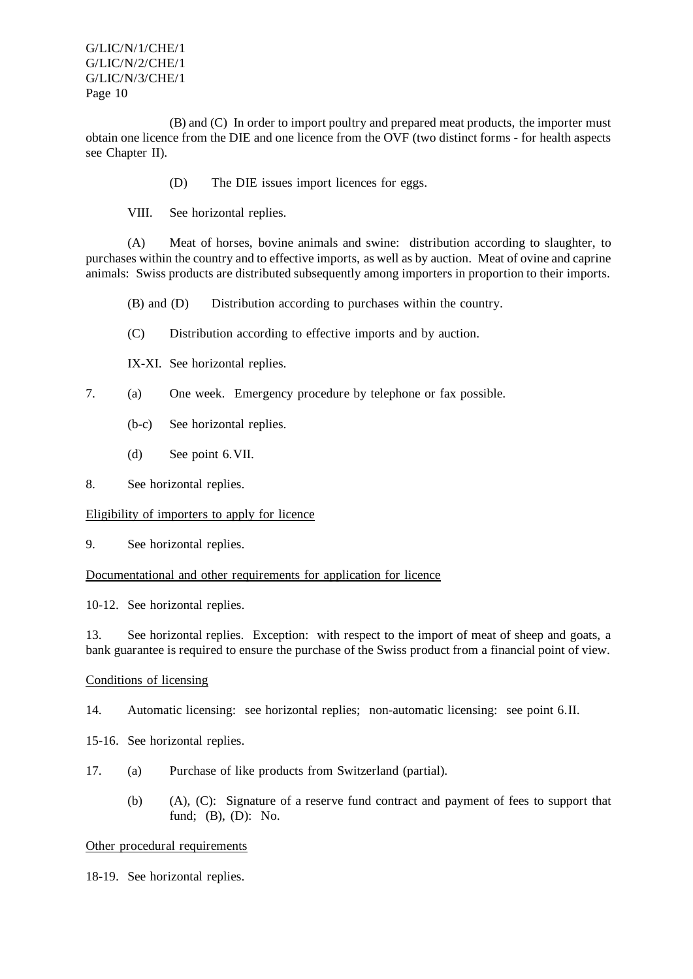(B) and (C) In order to import poultry and prepared meat products, the importer must obtain one licence from the DIE and one licence from the OVF (two distinct forms - for health aspects see Chapter II).

(D) The DIE issues import licences for eggs.

VIII. See horizontal replies.

(A) Meat of horses, bovine animals and swine: distribution according to slaughter, to purchases within the country and to effective imports, as well as by auction. Meat of ovine and caprine animals: Swiss products are distributed subsequently among importers in proportion to their imports.

(B) and (D) Distribution according to purchases within the country.

- (C) Distribution according to effective imports and by auction.
- IX-XI. See horizontal replies.
- 7. (a) One week. Emergency procedure by telephone or fax possible.
	- (b-c) See horizontal replies.
	- (d) See point 6.VII.
- 8. See horizontal replies.

## Eligibility of importers to apply for licence

9. See horizontal replies.

#### Documentational and other requirements for application for licence

10-12. See horizontal replies.

13. See horizontal replies. Exception: with respect to the import of meat of sheep and goats, a bank guarantee is required to ensure the purchase of the Swiss product from a financial point of view.

#### Conditions of licensing

14. Automatic licensing: see horizontal replies; non-automatic licensing: see point 6.II.

15-16. See horizontal replies.

- 17. (a) Purchase of like products from Switzerland (partial).
	- (b) (A), (C): Signature of a reserve fund contract and payment of fees to support that fund; (B), (D): No.

#### Other procedural requirements

18-19. See horizontal replies.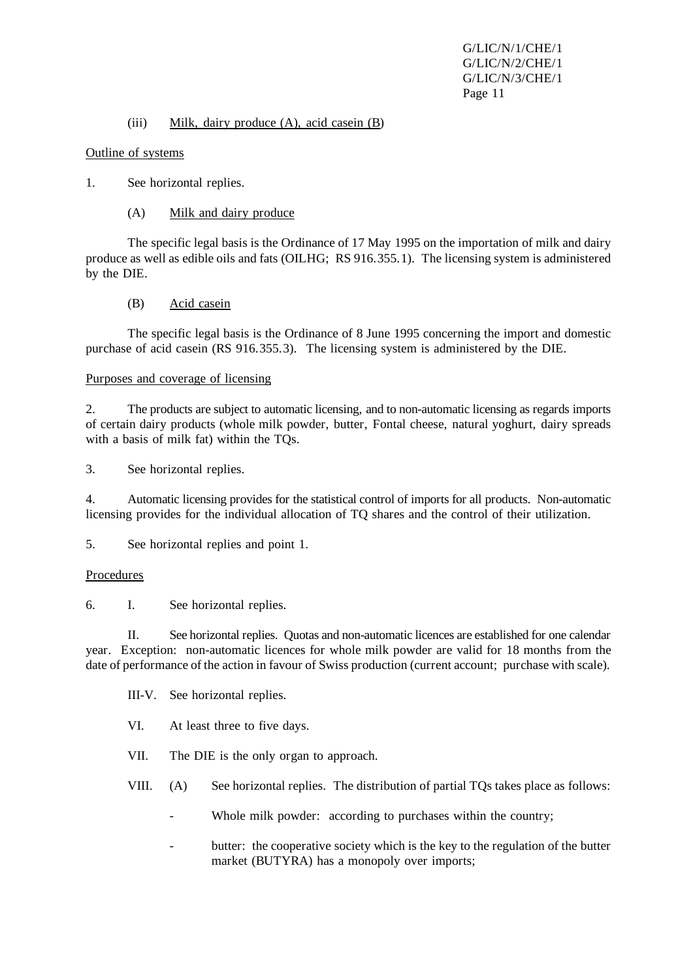#### (iii) Milk, dairy produce (A), acid casein (B)

#### Outline of systems

- 1. See horizontal replies.
	- (A) Milk and dairy produce

The specific legal basis is the Ordinance of 17 May 1995 on the importation of milk and dairy produce as well as edible oils and fats (OILHG; RS 916.355.1). The licensing system is administered by the DIE.

(B) Acid casein

The specific legal basis is the Ordinance of 8 June 1995 concerning the import and domestic purchase of acid casein (RS 916.355.3). The licensing system is administered by the DIE.

## Purposes and coverage of licensing

2. The products are subject to automatic licensing, and to non-automatic licensing as regards imports of certain dairy products (whole milk powder, butter, Fontal cheese, natural yoghurt, dairy spreads with a basis of milk fat) within the TQs.

3. See horizontal replies.

4. Automatic licensing provides for the statistical control of imports for all products. Non-automatic licensing provides for the individual allocation of TQ shares and the control of their utilization.

5. See horizontal replies and point 1.

#### Procedures

6. I. See horizontal replies.

II. See horizontal replies. Quotas and non-automatic licences are established for one calendar year. Exception: non-automatic licences for whole milk powder are valid for 18 months from the date of performance of the action in favour of Swiss production (current account; purchase with scale).

III-V. See horizontal replies.

VI. At least three to five days.

VII. The DIE is the only organ to approach.

VIII. (A) See horizontal replies. The distribution of partial TQs takes place as follows:

- Whole milk powder: according to purchases within the country;
- butter: the cooperative society which is the key to the regulation of the butter market (BUTYRA) has a monopoly over imports;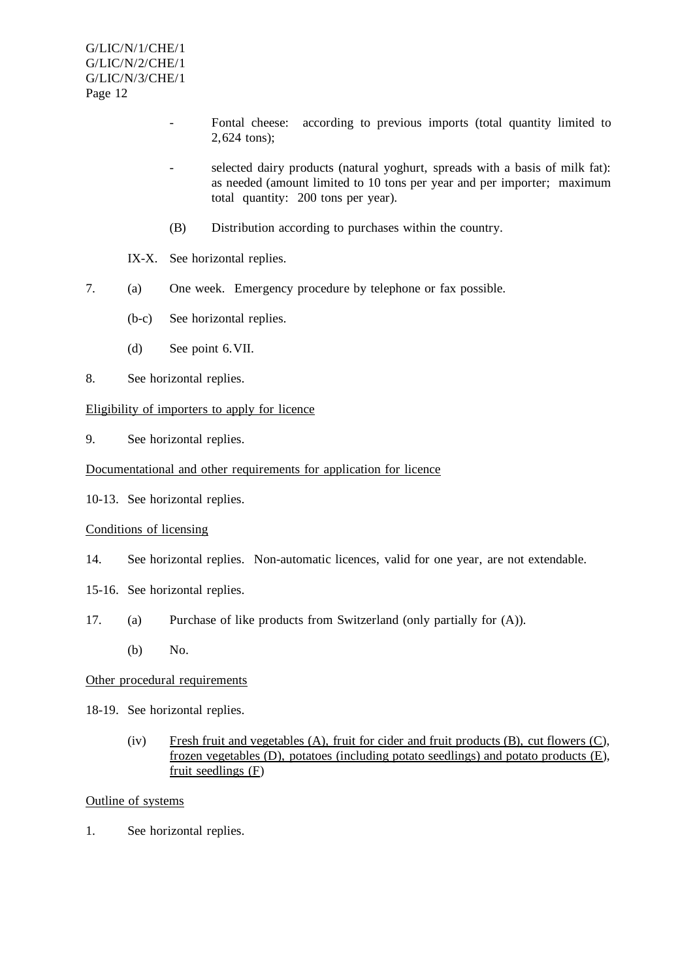- Fontal cheese: according to previous imports (total quantity limited to 2,624 tons);
- selected dairy products (natural yoghurt, spreads with a basis of milk fat): as needed (amount limited to 10 tons per year and per importer; maximum total quantity: 200 tons per year).
- (B) Distribution according to purchases within the country.
- IX-X. See horizontal replies.
- 7. (a) One week. Emergency procedure by telephone or fax possible.
	- (b-c) See horizontal replies.
	- (d) See point 6.VII.
- 8. See horizontal replies.

#### Eligibility of importers to apply for licence

9. See horizontal replies.

#### Documentational and other requirements for application for licence

10-13. See horizontal replies.

#### Conditions of licensing

- 14. See horizontal replies. Non-automatic licences, valid for one year, are not extendable.
- 15-16. See horizontal replies.
- 17. (a) Purchase of like products from Switzerland (only partially for (A)).
	- (b) No.

#### Other procedural requirements

- 18-19. See horizontal replies.
	- (iv) Fresh fruit and vegetables (A), fruit for cider and fruit products (B), cut flowers (C), frozen vegetables (D), potatoes (including potato seedlings) and potato products (E), fruit seedlings (F)

#### Outline of systems

1. See horizontal replies.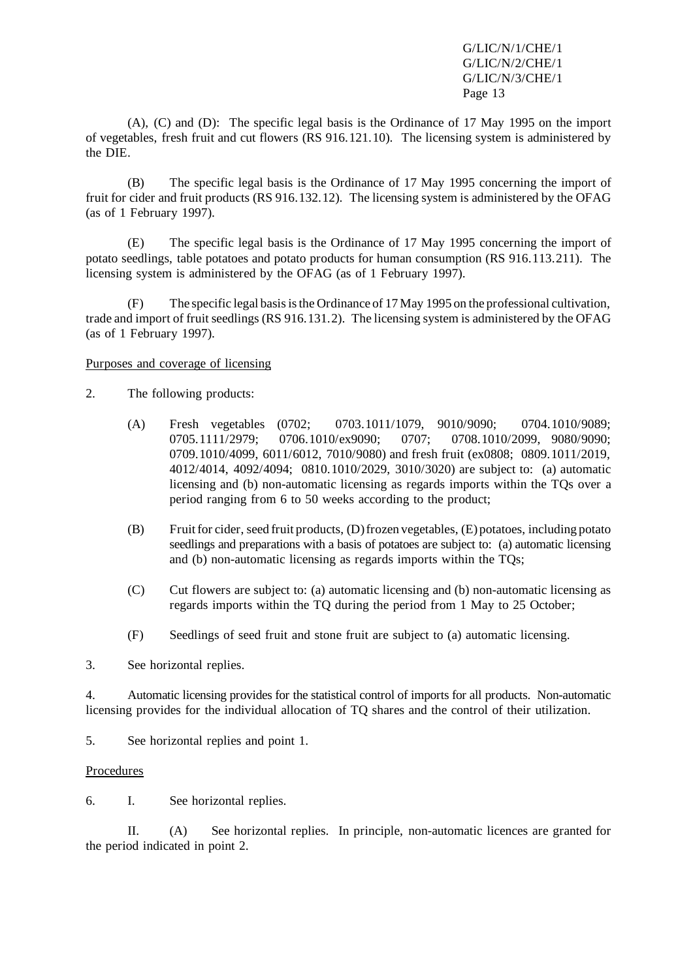(A), (C) and (D): The specific legal basis is the Ordinance of 17 May 1995 on the import of vegetables, fresh fruit and cut flowers (RS 916.121.10). The licensing system is administered by the DIE.

(B) The specific legal basis is the Ordinance of 17 May 1995 concerning the import of fruit for cider and fruit products (RS 916.132.12). The licensing system is administered by the OFAG (as of 1 February 1997).

(E) The specific legal basis is the Ordinance of 17 May 1995 concerning the import of potato seedlings, table potatoes and potato products for human consumption (RS 916.113.211). The licensing system is administered by the OFAG (as of 1 February 1997).

(F) The specific legal basisisthe Ordinance of 17 May 1995 on the professional cultivation, trade and import of fruit seedlings (RS 916.131.2). The licensing system is administered by the OFAG (as of 1 February 1997).

## Purposes and coverage of licensing

- 2. The following products:
	- (A) Fresh vegetables (0702; 0703.1011/1079, 9010/9090; 0704.1010/9089; 0705.1111/2979; 0706.1010/ex9090; 0707; 0708.1010/2099, 9080/9090; 0709.1010/4099, 6011/6012, 7010/9080) and fresh fruit (ex0808; 0809.1011/2019, 4012/4014, 4092/4094; 0810.1010/2029, 3010/3020) are subject to: (a) automatic licensing and (b) non-automatic licensing as regards imports within the TQs over a period ranging from 6 to 50 weeks according to the product;
	- (B) Fruit for cider, seed fruit products, (D) frozen vegetables, (E) potatoes, including potato seedlings and preparations with a basis of potatoes are subject to: (a) automatic licensing and (b) non-automatic licensing as regards imports within the TQs;
	- (C) Cut flowers are subject to: (a) automatic licensing and (b) non-automatic licensing as regards imports within the TQ during the period from 1 May to 25 October;
	- (F) Seedlings of seed fruit and stone fruit are subject to (a) automatic licensing.
- 3. See horizontal replies.

4. Automatic licensing provides for the statistical control of imports for all products. Non-automatic licensing provides for the individual allocation of TQ shares and the control of their utilization.

5. See horizontal replies and point 1.

#### Procedures

6. I. See horizontal replies.

II. (A) See horizontal replies. In principle, non-automatic licences are granted for the period indicated in point 2.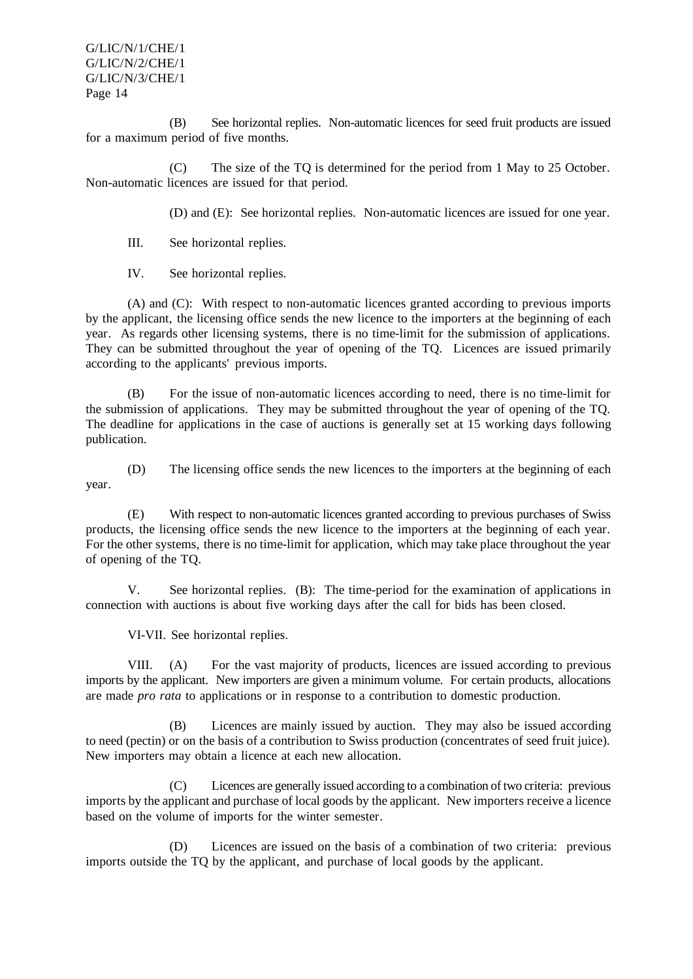(B) See horizontal replies. Non-automatic licences for seed fruit products are issued for a maximum period of five months.

(C) The size of the TQ is determined for the period from 1 May to 25 October. Non-automatic licences are issued for that period.

(D) and (E): See horizontal replies. Non-automatic licences are issued for one year.

III. See horizontal replies.

IV. See horizontal replies.

(A) and (C): With respect to non-automatic licences granted according to previous imports by the applicant, the licensing office sends the new licence to the importers at the beginning of each year. As regards other licensing systems, there is no time-limit for the submission of applications. They can be submitted throughout the year of opening of the TQ. Licences are issued primarily according to the applicants' previous imports.

(B) For the issue of non-automatic licences according to need, there is no time-limit for the submission of applications. They may be submitted throughout the year of opening of the TQ. The deadline for applications in the case of auctions is generally set at 15 working days following publication.

(D) The licensing office sends the new licences to the importers at the beginning of each year.

(E) With respect to non-automatic licences granted according to previous purchases of Swiss products, the licensing office sends the new licence to the importers at the beginning of each year. For the other systems, there is no time-limit for application, which may take place throughout the year of opening of the TQ.

V. See horizontal replies. (B): The time-period for the examination of applications in connection with auctions is about five working days after the call for bids has been closed.

VI-VII. See horizontal replies.

VIII. (A) For the vast majority of products, licences are issued according to previous imports by the applicant. New importers are given a minimum volume. For certain products, allocations are made *pro rata* to applications or in response to a contribution to domestic production.

(B) Licences are mainly issued by auction. They may also be issued according to need (pectin) or on the basis of a contribution to Swiss production (concentrates of seed fruit juice). New importers may obtain a licence at each new allocation.

(C) Licences are generally issued according to a combination of two criteria: previous imports by the applicant and purchase of local goods by the applicant. New importers receive a licence based on the volume of imports for the winter semester.

(D) Licences are issued on the basis of a combination of two criteria: previous imports outside the TQ by the applicant, and purchase of local goods by the applicant.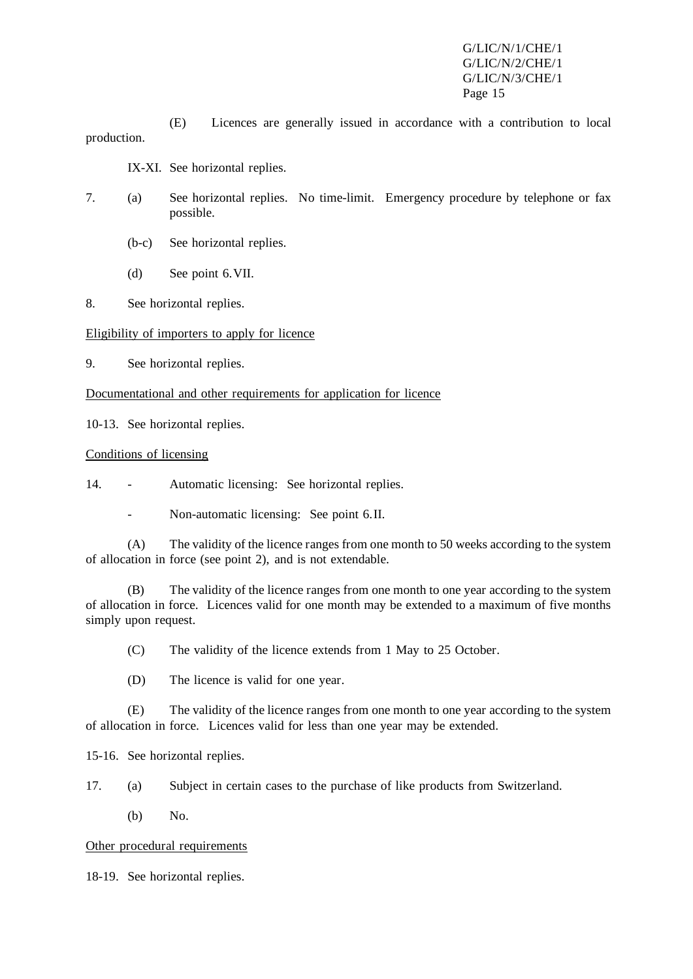(E) Licences are generally issued in accordance with a contribution to local production.

IX-XI. See horizontal replies.

- 7. (a) See horizontal replies. No time-limit. Emergency procedure by telephone or fax possible.
	- (b-c) See horizontal replies.
	- (d) See point 6.VII.
- 8. See horizontal replies.

## Eligibility of importers to apply for licence

9. See horizontal replies.

Documentational and other requirements for application for licence

10-13. See horizontal replies.

#### Conditions of licensing

14. - Automatic licensing: See horizontal replies.

- Non-automatic licensing: See point 6.II.

(A) The validity of the licence ranges from one month to 50 weeks according to the system of allocation in force (see point 2), and is not extendable.

(B) The validity of the licence ranges from one month to one year according to the system of allocation in force. Licences valid for one month may be extended to a maximum of five months simply upon request.

(C) The validity of the licence extends from 1 May to 25 October.

(D) The licence is valid for one year.

(E) The validity of the licence ranges from one month to one year according to the system of allocation in force. Licences valid for less than one year may be extended.

15-16. See horizontal replies.

17. (a) Subject in certain cases to the purchase of like products from Switzerland.

(b) No.

#### Other procedural requirements

18-19. See horizontal replies.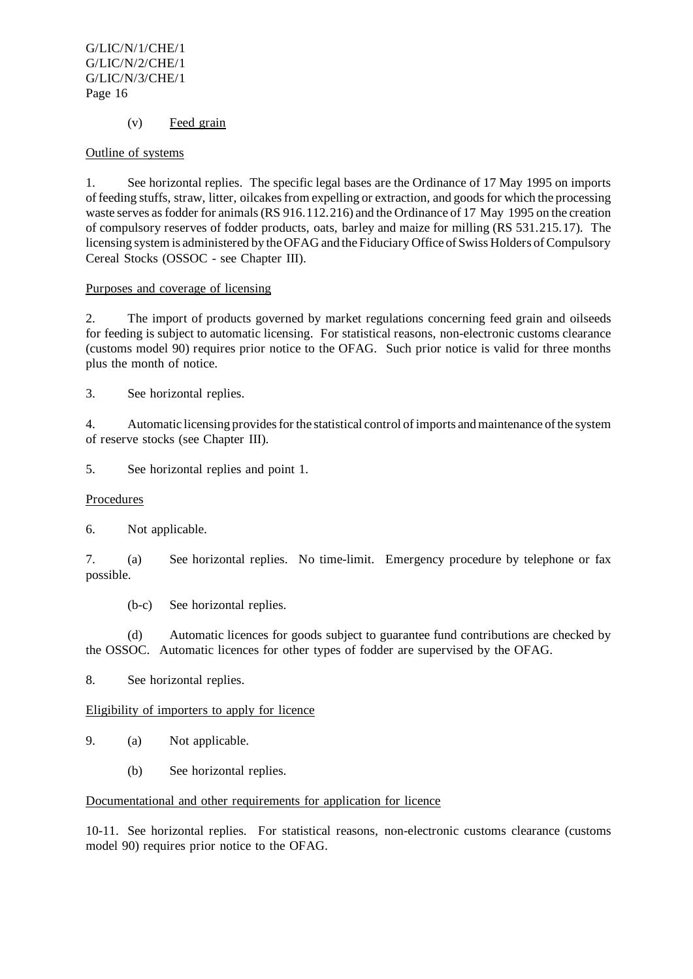## (v) Feed grain

#### Outline of systems

1. See horizontal replies. The specific legal bases are the Ordinance of 17 May 1995 on imports of feeding stuffs, straw, litter, oilcakes from expelling or extraction, and goods for which the processing waste serves as fodder for animals (RS 916.112.216) and the Ordinance of 17 May 1995 on the creation of compulsory reserves of fodder products, oats, barley and maize for milling (RS 531.215.17). The licensing systemis administered by the OFAG and the Fiduciary Office of Swiss Holders of Compulsory Cereal Stocks (OSSOC - see Chapter III).

## Purposes and coverage of licensing

2. The import of products governed by market regulations concerning feed grain and oilseeds for feeding is subject to automatic licensing. For statistical reasons, non-electronic customs clearance (customs model 90) requires prior notice to the OFAG. Such prior notice is valid for three months plus the month of notice.

3. See horizontal replies.

4. Automatic licensing provides for the statistical control of imports and maintenance of the system of reserve stocks (see Chapter III).

5. See horizontal replies and point 1.

#### **Procedures**

6. Not applicable.

7. (a) See horizontal replies. No time-limit. Emergency procedure by telephone or fax possible.

(b-c) See horizontal replies.

(d) Automatic licences for goods subject to guarantee fund contributions are checked by the OSSOC. Automatic licences for other types of fodder are supervised by the OFAG.

8. See horizontal replies.

Eligibility of importers to apply for licence

- 9. (a) Not applicable.
	- (b) See horizontal replies.

#### Documentational and other requirements for application for licence

10-11. See horizontal replies. For statistical reasons, non-electronic customs clearance (customs model 90) requires prior notice to the OFAG.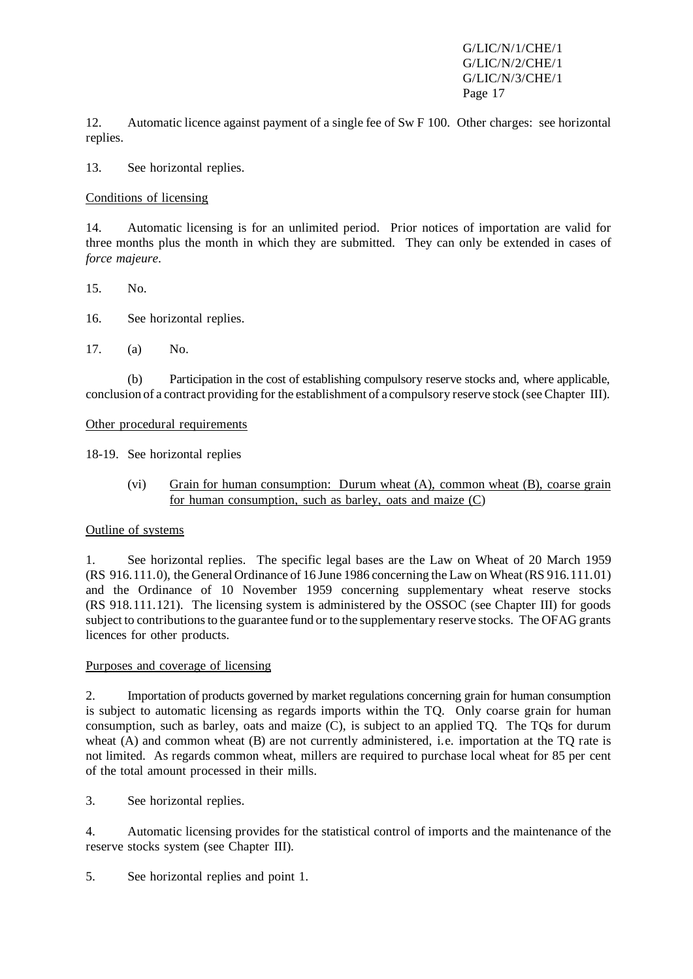12. Automatic licence against payment of a single fee of Sw F 100. Other charges: see horizontal replies.

13. See horizontal replies.

Conditions of licensing

14. Automatic licensing is for an unlimited period. Prior notices of importation are valid for three months plus the month in which they are submitted. They can only be extended in cases of *force majeure*.

15. No.

16. See horizontal replies.

17. (a) No.

(b) Participation in the cost of establishing compulsory reserve stocks and, where applicable, conclusion of a contract providing for the establishment of a compulsory reserve stock (see Chapter III).

Other procedural requirements

18-19. See horizontal replies

(vi) Grain for human consumption: Durum wheat (A), common wheat (B), coarse grain for human consumption, such as barley, oats and maize (C)

# Outline of systems

1. See horizontal replies. The specific legal bases are the Law on Wheat of 20 March 1959 (RS 916.111.0), the General Ordinance of 16 June 1986 concerning the Law on Wheat (RS 916.111.01) and the Ordinance of 10 November 1959 concerning supplementary wheat reserve stocks (RS 918.111.121). The licensing system is administered by the OSSOC (see Chapter III) for goods subject to contributions to the guarantee fund or to the supplementary reserve stocks. The OFAG grants licences for other products.

# Purposes and coverage of licensing

2. Importation of products governed by market regulations concerning grain for human consumption is subject to automatic licensing as regards imports within the TQ. Only coarse grain for human consumption, such as barley, oats and maize (C), is subject to an applied TQ. The TQs for durum wheat (A) and common wheat (B) are not currently administered, i.e. importation at the TQ rate is not limited. As regards common wheat, millers are required to purchase local wheat for 85 per cent of the total amount processed in their mills.

3. See horizontal replies.

4. Automatic licensing provides for the statistical control of imports and the maintenance of the reserve stocks system (see Chapter III).

5. See horizontal replies and point 1.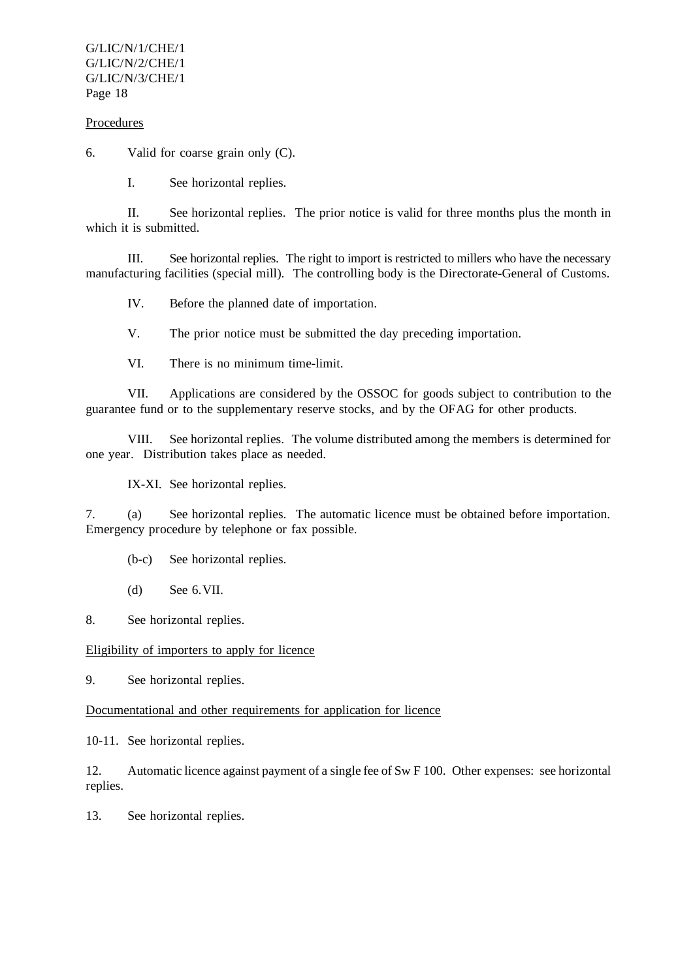#### Procedures

6. Valid for coarse grain only (C).

I. See horizontal replies.

II. See horizontal replies. The prior notice is valid for three months plus the month in which it is submitted.

III. See horizontal replies. The right to import is restricted to millers who have the necessary manufacturing facilities (special mill). The controlling body is the Directorate-General of Customs.

IV. Before the planned date of importation.

V. The prior notice must be submitted the day preceding importation.

VI. There is no minimum time-limit.

VII. Applications are considered by the OSSOC for goods subject to contribution to the guarantee fund or to the supplementary reserve stocks, and by the OFAG for other products.

VIII. See horizontal replies. The volume distributed among the members is determined for one year. Distribution takes place as needed.

IX-XI. See horizontal replies.

7. (a) See horizontal replies. The automatic licence must be obtained before importation. Emergency procedure by telephone or fax possible.

- (b-c) See horizontal replies.
- (d) See 6.VII.

8. See horizontal replies.

Eligibility of importers to apply for licence

9. See horizontal replies.

Documentational and other requirements for application for licence

10-11. See horizontal replies.

12. Automatic licence against payment of a single fee of Sw F 100. Other expenses: see horizontal replies.

13. See horizontal replies.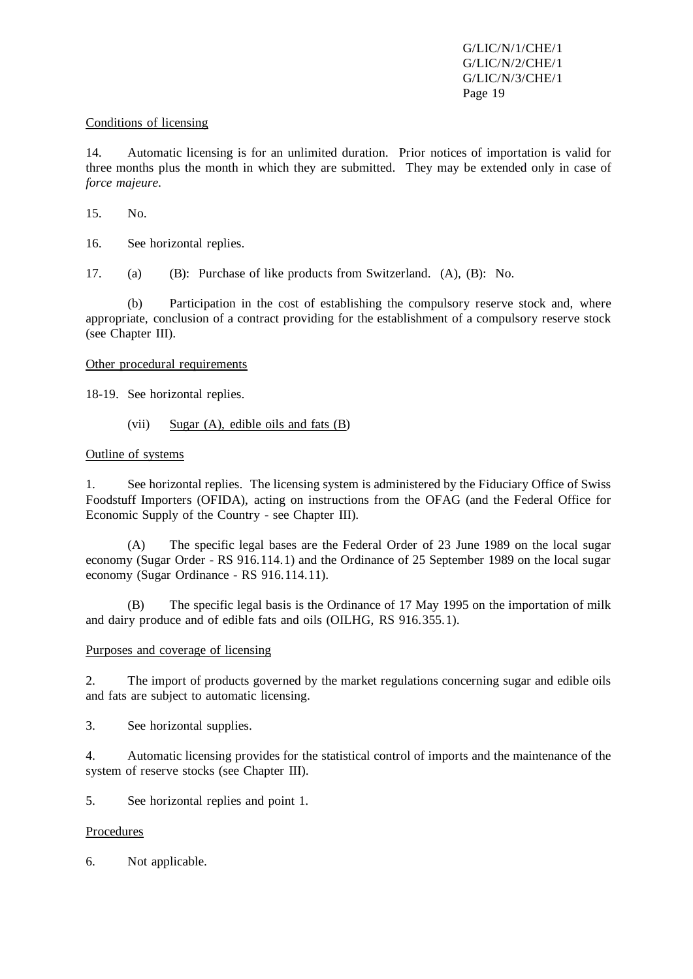#### Conditions of licensing

14. Automatic licensing is for an unlimited duration. Prior notices of importation is valid for three months plus the month in which they are submitted. They may be extended only in case of *force majeure*.

15. No.

16. See horizontal replies.

17. (a) (B): Purchase of like products from Switzerland. (A), (B): No.

(b) Participation in the cost of establishing the compulsory reserve stock and, where appropriate, conclusion of a contract providing for the establishment of a compulsory reserve stock (see Chapter III).

## Other procedural requirements

18-19. See horizontal replies.

(vii) Sugar  $(A)$ , edible oils and fats  $(B)$ 

## Outline of systems

1. See horizontal replies. The licensing system is administered by the Fiduciary Office of Swiss Foodstuff Importers (OFIDA), acting on instructions from the OFAG (and the Federal Office for Economic Supply of the Country - see Chapter III).

(A) The specific legal bases are the Federal Order of 23 June 1989 on the local sugar economy (Sugar Order - RS 916.114.1) and the Ordinance of 25 September 1989 on the local sugar economy (Sugar Ordinance - RS 916.114.11).

(B) The specific legal basis is the Ordinance of 17 May 1995 on the importation of milk and dairy produce and of edible fats and oils (OILHG, RS 916.355.1).

#### Purposes and coverage of licensing

2. The import of products governed by the market regulations concerning sugar and edible oils and fats are subject to automatic licensing.

3. See horizontal supplies.

4. Automatic licensing provides for the statistical control of imports and the maintenance of the system of reserve stocks (see Chapter III).

5. See horizontal replies and point 1.

#### Procedures

6. Not applicable.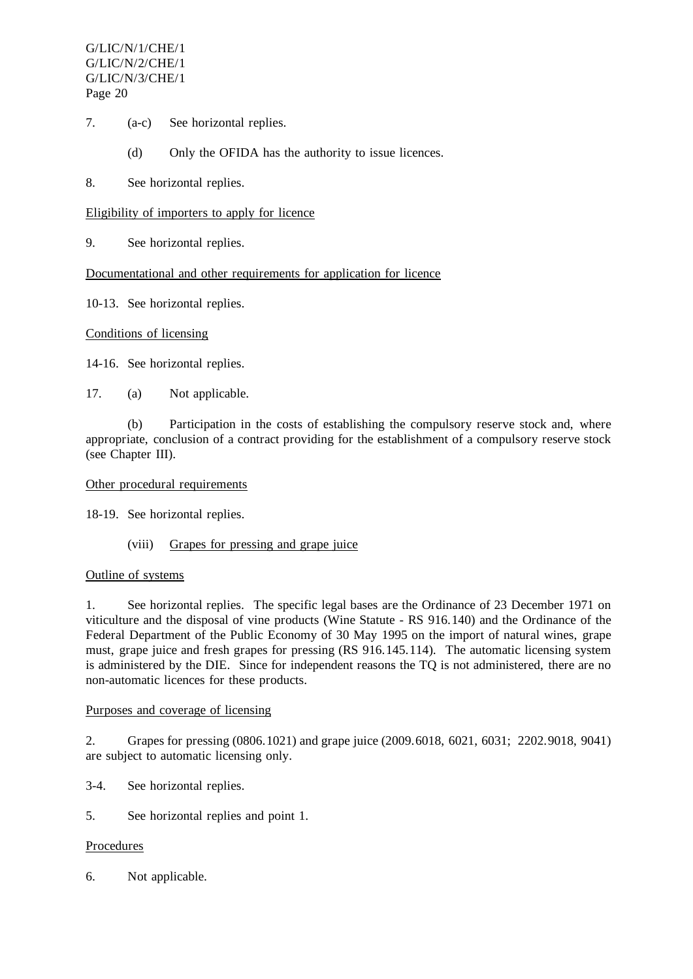- 7. (a-c) See horizontal replies.
	- (d) Only the OFIDA has the authority to issue licences.
- 8. See horizontal replies.

#### Eligibility of importers to apply for licence

9. See horizontal replies.

Documentational and other requirements for application for licence

10-13. See horizontal replies.

#### Conditions of licensing

14-16. See horizontal replies.

17. (a) Not applicable.

(b) Participation in the costs of establishing the compulsory reserve stock and, where appropriate, conclusion of a contract providing for the establishment of a compulsory reserve stock (see Chapter III).

#### Other procedural requirements

18-19. See horizontal replies.

(viii) Grapes for pressing and grape juice

#### Outline of systems

1. See horizontal replies. The specific legal bases are the Ordinance of 23 December 1971 on viticulture and the disposal of vine products (Wine Statute - RS 916.140) and the Ordinance of the Federal Department of the Public Economy of 30 May 1995 on the import of natural wines, grape must, grape juice and fresh grapes for pressing (RS 916.145.114). The automatic licensing system is administered by the DIE. Since for independent reasons the TQ is not administered, there are no non-automatic licences for these products.

#### Purposes and coverage of licensing

2. Grapes for pressing (0806.1021) and grape juice (2009.6018, 6021, 6031; 2202.9018, 9041) are subject to automatic licensing only.

- 3-4. See horizontal replies.
- 5. See horizontal replies and point 1.

#### Procedures

6. Not applicable.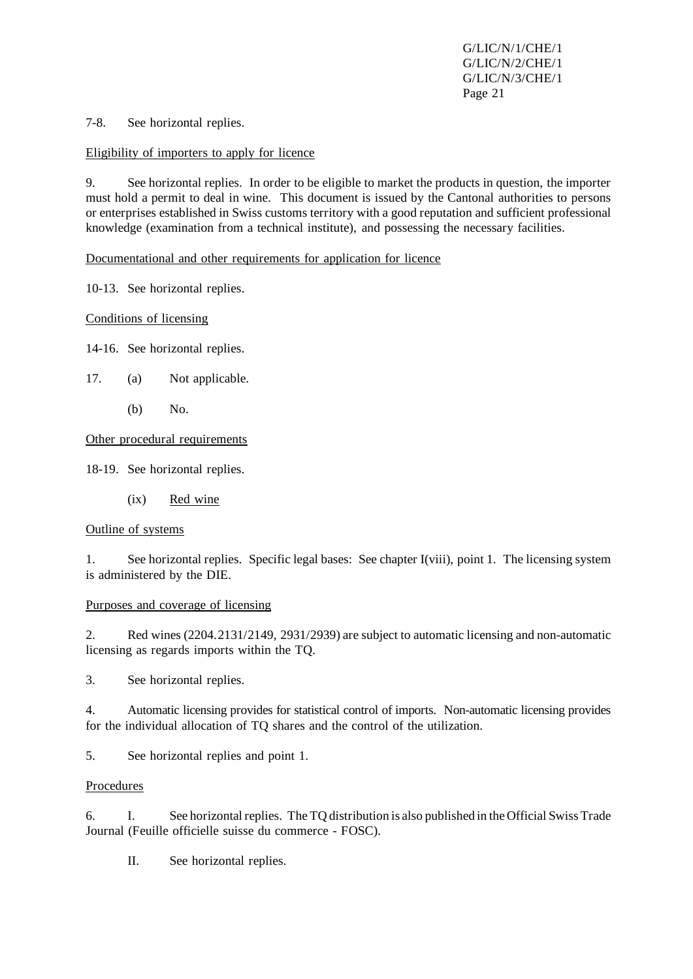7-8. See horizontal replies.

#### Eligibility of importers to apply for licence

9. See horizontal replies. In order to be eligible to market the products in question, the importer must hold a permit to deal in wine. This document is issued by the Cantonal authorities to persons or enterprises established in Swiss customs territory with a good reputation and sufficient professional knowledge (examination from a technical institute), and possessing the necessary facilities.

Documentational and other requirements for application for licence

10-13. See horizontal replies.

Conditions of licensing

14-16. See horizontal replies.

- 17. (a) Not applicable.
	- (b) No.

Other procedural requirements

18-19. See horizontal replies.

(ix) Red wine

#### Outline of systems

1. See horizontal replies. Specific legal bases: See chapter I(viii), point 1. The licensing system is administered by the DIE.

#### Purposes and coverage of licensing

2. Red wines (2204.2131/2149, 2931/2939) are subject to automatic licensing and non-automatic licensing as regards imports within the TQ.

3. See horizontal replies.

4. Automatic licensing provides for statistical control of imports. Non-automatic licensing provides for the individual allocation of TQ shares and the control of the utilization.

5. See horizontal replies and point 1.

#### Procedures

6. I. See horizontal replies. The TQ distribution is also published in the Official Swiss Trade Journal (Feuille officielle suisse du commerce - FOSC).

II. See horizontal replies.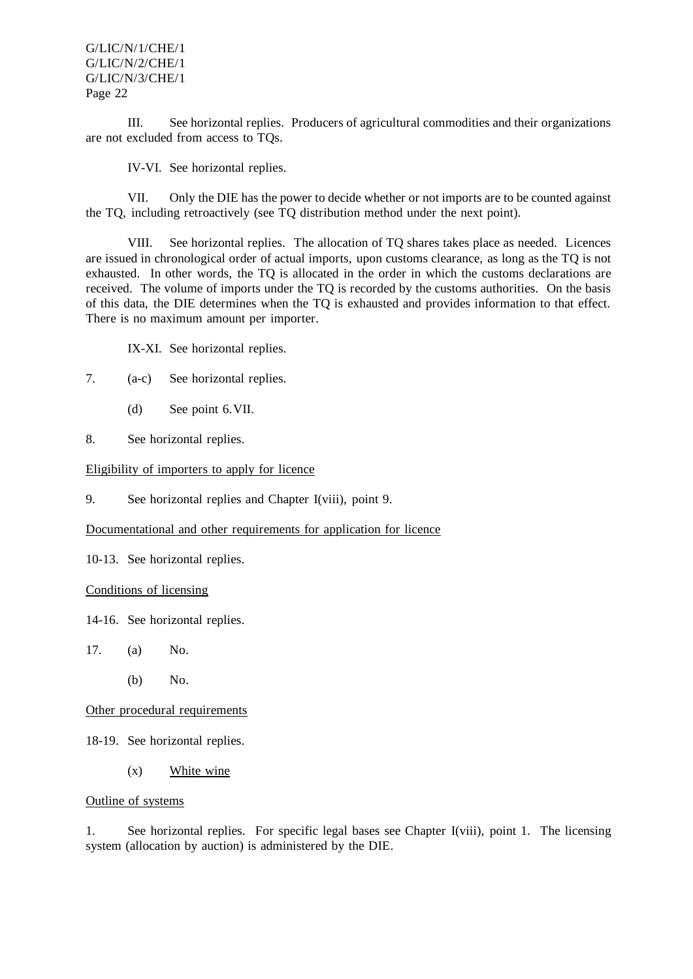III. See horizontal replies. Producers of agricultural commodities and their organizations are not excluded from access to TQs.

IV-VI. See horizontal replies.

VII. Only the DIE has the power to decide whether or not imports are to be counted against the TQ, including retroactively (see TQ distribution method under the next point).

VIII. See horizontal replies. The allocation of TQ shares takes place as needed. Licences are issued in chronological order of actual imports, upon customs clearance, as long as the TQ is not exhausted. In other words, the TQ is allocated in the order in which the customs declarations are received. The volume of imports under the TQ is recorded by the customs authorities. On the basis of this data, the DIE determines when the TQ is exhausted and provides information to that effect. There is no maximum amount per importer.

IX-XI. See horizontal replies.

- 7. (a-c) See horizontal replies.
	- (d) See point 6.VII.
- 8. See horizontal replies.

Eligibility of importers to apply for licence

9. See horizontal replies and Chapter I(viii), point 9.

Documentational and other requirements for application for licence

10-13. See horizontal replies.

Conditions of licensing

14-16. See horizontal replies.

17. (a) No.

(b) No.

Other procedural requirements

18-19. See horizontal replies.

(x) White wine

Outline of systems

1. See horizontal replies. For specific legal bases see Chapter I(viii), point 1. The licensing system (allocation by auction) is administered by the DIE.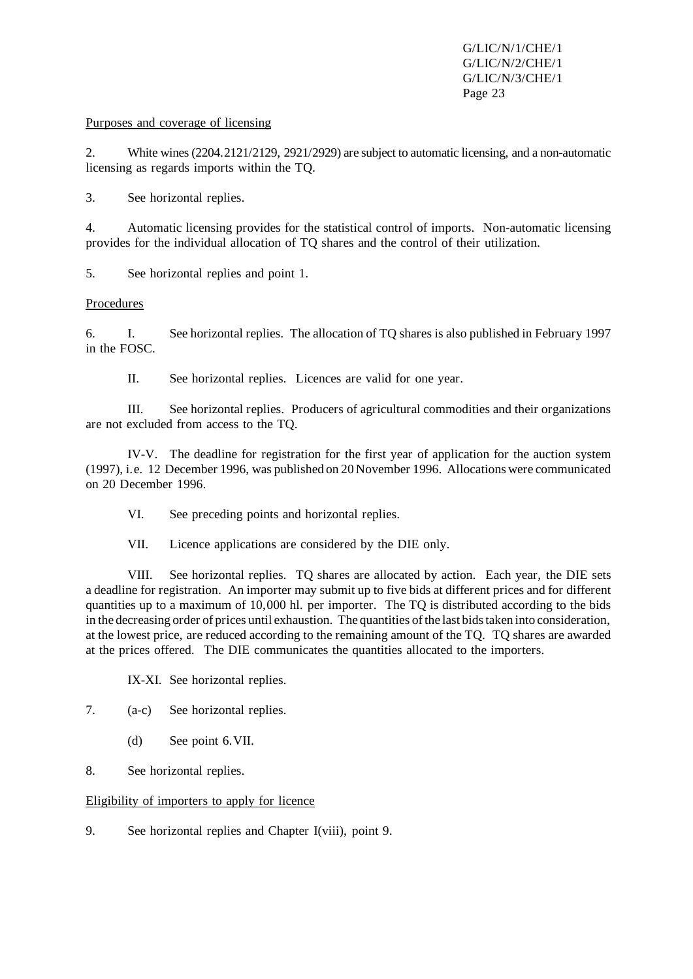#### Purposes and coverage of licensing

2. White wines(2204.2121/2129, 2921/2929) are subject to automatic licensing, and a non-automatic licensing as regards imports within the TQ.

3. See horizontal replies.

4. Automatic licensing provides for the statistical control of imports. Non-automatic licensing provides for the individual allocation of TQ shares and the control of their utilization.

5. See horizontal replies and point 1.

#### Procedures

6. I. See horizontal replies. The allocation of TQ shares is also published in February 1997 in the FOSC.

II. See horizontal replies. Licences are valid for one year.

III. See horizontal replies. Producers of agricultural commodities and their organizations are not excluded from access to the TQ.

IV-V. The deadline for registration for the first year of application for the auction system (1997), i.e. 12 December 1996, was published on 20 November 1996. Allocations were communicated on 20 December 1996.

VI. See preceding points and horizontal replies.

VII. Licence applications are considered by the DIE only.

VIII. See horizontal replies. TQ shares are allocated by action. Each year, the DIE sets a deadline for registration. An importer may submit up to five bids at different prices and for different quantities up to a maximum of 10,000 hl. per importer. The TQ is distributed according to the bids in the decreasing order of prices until exhaustion. The quantities of the last bids taken into consideration, at the lowest price, are reduced according to the remaining amount of the TQ. TQ shares are awarded at the prices offered. The DIE communicates the quantities allocated to the importers.

IX-XI. See horizontal replies.

7. (a-c) See horizontal replies.

- (d) See point 6.VII.
- 8. See horizontal replies.

Eligibility of importers to apply for licence

9. See horizontal replies and Chapter I(viii), point 9.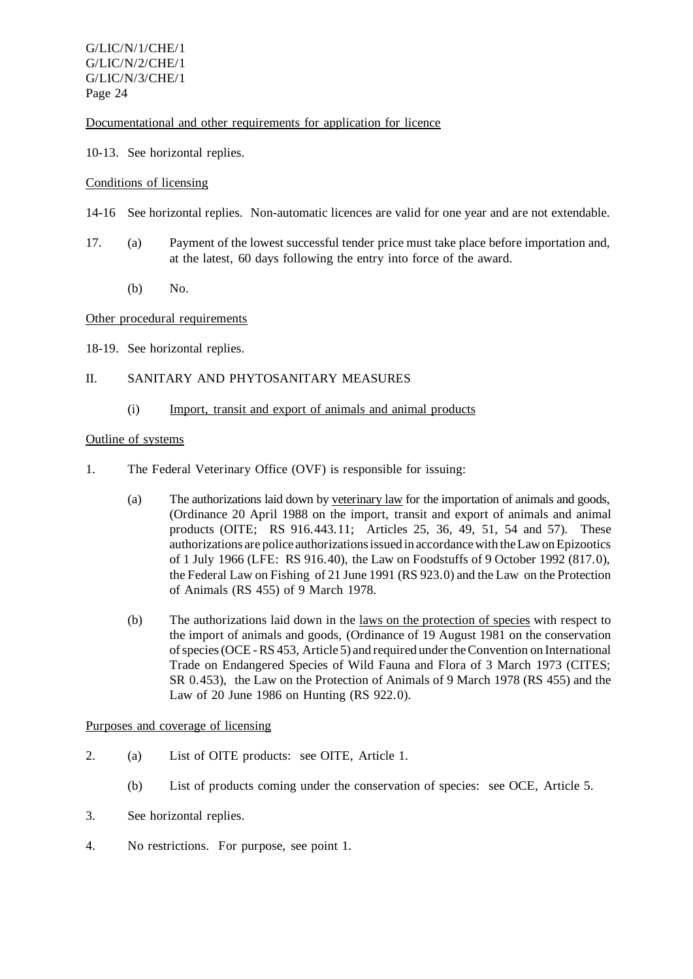Documentational and other requirements for application for licence

10-13. See horizontal replies.

#### Conditions of licensing

- 14-16 See horizontal replies. Non-automatic licences are valid for one year and are not extendable.
- 17. (a) Payment of the lowest successful tender price must take place before importation and, at the latest, 60 days following the entry into force of the award.
	- (b) No.

#### Other procedural requirements

18-19. See horizontal replies.

#### II. SANITARY AND PHYTOSANITARY MEASURES

#### (i) Import, transit and export of animals and animal products

#### Outline of systems

- 1. The Federal Veterinary Office (OVF) is responsible for issuing:
	- (a) The authorizations laid down by veterinary law for the importation of animals and goods, (Ordinance 20 April 1988 on the import, transit and export of animals and animal products (OITE; RS 916.443.11; Articles 25, 36, 49, 51, 54 and 57). These authorizations are police authorizationsissued in accordancewith theLawonEpizootics of 1 July 1966 (LFE: RS 916.40), the Law on Foodstuffs of 9 October 1992 (817.0), the Federal Law on Fishing of 21 June 1991 (RS 923.0) and the Law on the Protection of Animals (RS 455) of 9 March 1978.
	- (b) The authorizations laid down in the laws on the protection of species with respect to the import of animals and goods, (Ordinance of 19 August 1981 on the conservation ofspecies(OCE-RS 453, Article 5) and required undertheConvention on International Trade on Endangered Species of Wild Fauna and Flora of 3 March 1973 (CITES; SR 0.453), the Law on the Protection of Animals of 9 March 1978 (RS 455) and the Law of 20 June 1986 on Hunting (RS 922.0).

#### Purposes and coverage of licensing

- 2. (a) List of OITE products: see OITE, Article 1.
	- (b) List of products coming under the conservation of species: see OCE, Article 5.
- 3. See horizontal replies.
- 4. No restrictions. For purpose, see point 1.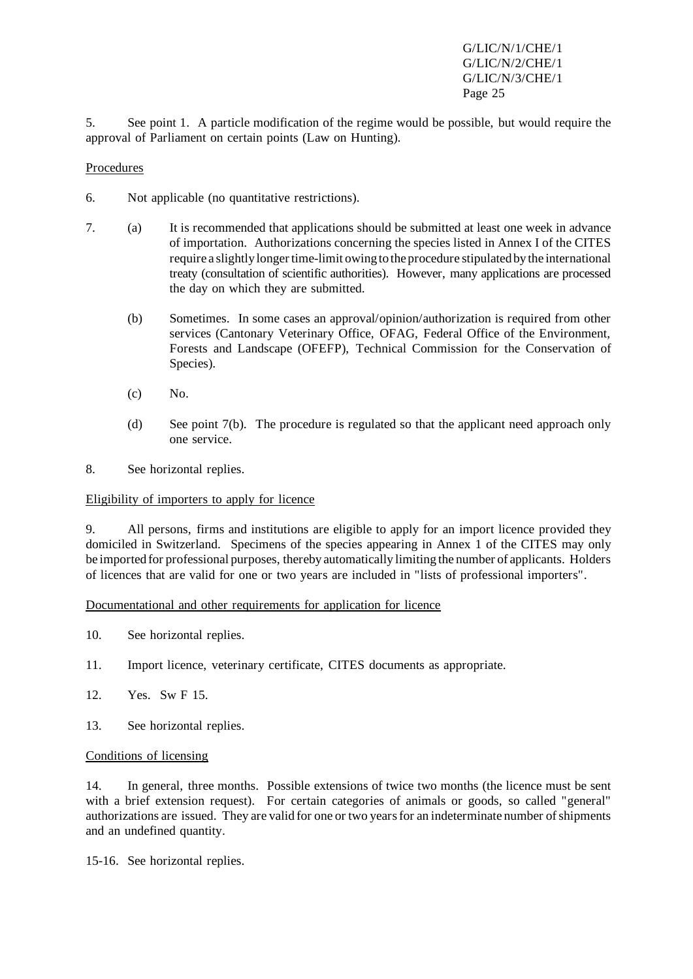5. See point 1. A particle modification of the regime would be possible, but would require the approval of Parliament on certain points (Law on Hunting).

#### Procedures

- 6. Not applicable (no quantitative restrictions).
- 7. (a) It is recommended that applications should be submitted at least one week in advance of importation. Authorizations concerning the species listed in Annex I of the CITES require a slightly longer time-limit owing to the procedure stipulated by the international treaty (consultation of scientific authorities). However, many applications are processed the day on which they are submitted.
	- (b) Sometimes. In some cases an approval/opinion/authorization is required from other services (Cantonary Veterinary Office, OFAG, Federal Office of the Environment, Forests and Landscape (OFEFP), Technical Commission for the Conservation of Species).
	- (c) No.
	- (d) See point 7(b). The procedure is regulated so that the applicant need approach only one service.

8. See horizontal replies.

#### Eligibility of importers to apply for licence

9. All persons, firms and institutions are eligible to apply for an import licence provided they domiciled in Switzerland. Specimens of the species appearing in Annex 1 of the CITES may only be imported for professional purposes, thereby automatically limiting the number of applicants. Holders of licences that are valid for one or two years are included in "lists of professional importers".

Documentational and other requirements for application for licence

- 10. See horizontal replies.
- 11. Import licence, veterinary certificate, CITES documents as appropriate.
- 12. Yes. Sw F 15.
- 13. See horizontal replies.

#### Conditions of licensing

14. In general, three months. Possible extensions of twice two months (the licence must be sent with a brief extension request). For certain categories of animals or goods, so called "general" authorizations are issued. They are valid for one or two years for an indeterminate number of shipments and an undefined quantity.

15-16. See horizontal replies.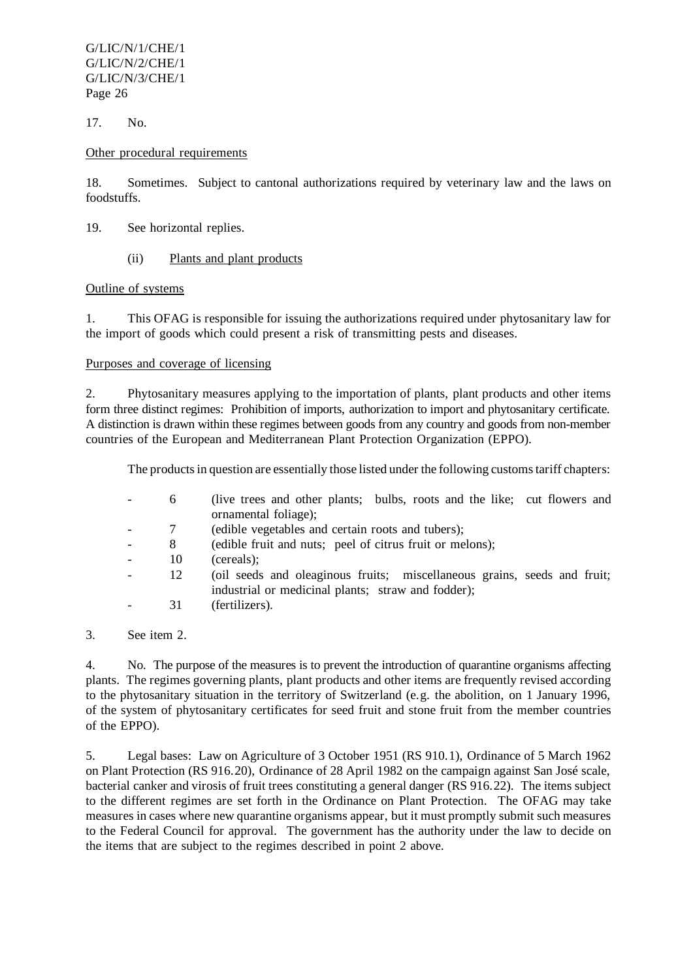17. No.

#### Other procedural requirements

18. Sometimes. Subject to cantonal authorizations required by veterinary law and the laws on foodstuffs.

- 19. See horizontal replies.
	- (ii) Plants and plant products

## Outline of systems

1. This OFAG is responsible for issuing the authorizations required under phytosanitary law for the import of goods which could present a risk of transmitting pests and diseases.

#### Purposes and coverage of licensing

2. Phytosanitary measures applying to the importation of plants, plant products and other items form three distinct regimes: Prohibition of imports, authorization to import and phytosanitary certificate. A distinction is drawn within these regimes between goods from any country and goods from non-member countries of the European and Mediterranean Plant Protection Organization (EPPO).

The products in question are essentially those listed under the following customs tariff chapters:

| 6  | (live trees and other plants; bulbs, roots and the like; cut flowers and<br>ornamental foliage);                               |
|----|--------------------------------------------------------------------------------------------------------------------------------|
| 7  | (edible vegetables and certain roots and tubers);                                                                              |
| 8  | (edible fruit and nuts; peel of citrus fruit or melons);                                                                       |
| 10 | (cereals);                                                                                                                     |
| 12 | (oil seeds and oleaginous fruits; miscellaneous grains, seeds and fruit;<br>industrial or medicinal plants; straw and fodder); |
| 31 | (fertilizers).                                                                                                                 |

3. See item 2.

4. No. The purpose of the measures is to prevent the introduction of quarantine organisms affecting plants. The regimes governing plants, plant products and other items are frequently revised according to the phytosanitary situation in the territory of Switzerland (e.g. the abolition, on 1 January 1996, of the system of phytosanitary certificates for seed fruit and stone fruit from the member countries of the EPPO).

5. Legal bases: Law on Agriculture of 3 October 1951 (RS 910.1), Ordinance of 5 March 1962 on Plant Protection (RS 916.20), Ordinance of 28 April 1982 on the campaign against San José scale, bacterial canker and virosis of fruit trees constituting a general danger (RS 916.22). The items subject to the different regimes are set forth in the Ordinance on Plant Protection. The OFAG may take measures in cases where new quarantine organisms appear, but it must promptly submit such measures to the Federal Council for approval. The government has the authority under the law to decide on the items that are subject to the regimes described in point 2 above.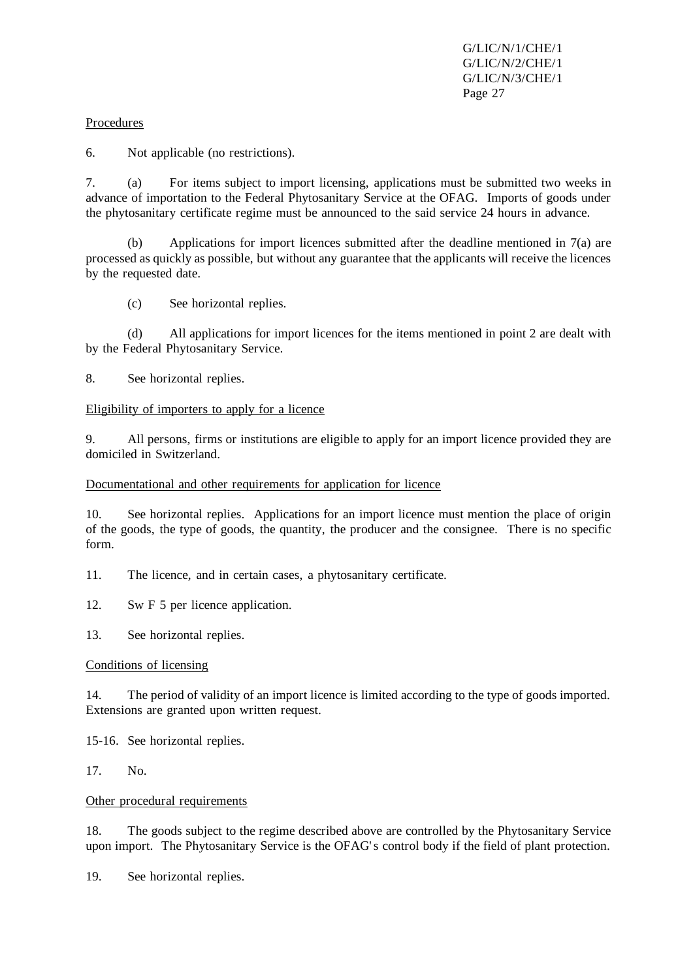#### Procedures

6. Not applicable (no restrictions).

7. (a) For items subject to import licensing, applications must be submitted two weeks in advance of importation to the Federal Phytosanitary Service at the OFAG. Imports of goods under the phytosanitary certificate regime must be announced to the said service 24 hours in advance.

(b) Applications for import licences submitted after the deadline mentioned in 7(a) are processed as quickly as possible, but without any guarantee that the applicants will receive the licences by the requested date.

(c) See horizontal replies.

(d) All applications for import licences for the items mentioned in point 2 are dealt with by the Federal Phytosanitary Service.

8. See horizontal replies.

#### Eligibility of importers to apply for a licence

9. All persons, firms or institutions are eligible to apply for an import licence provided they are domiciled in Switzerland.

#### Documentational and other requirements for application for licence

10. See horizontal replies. Applications for an import licence must mention the place of origin of the goods, the type of goods, the quantity, the producer and the consignee. There is no specific form.

11. The licence, and in certain cases, a phytosanitary certificate.

12. Sw F 5 per licence application.

13. See horizontal replies.

#### Conditions of licensing

14. The period of validity of an import licence is limited according to the type of goods imported. Extensions are granted upon written request.

15-16. See horizontal replies.

17. No.

#### Other procedural requirements

18. The goods subject to the regime described above are controlled by the Phytosanitary Service upon import. The Phytosanitary Service is the OFAG's control body if the field of plant protection.

19. See horizontal replies.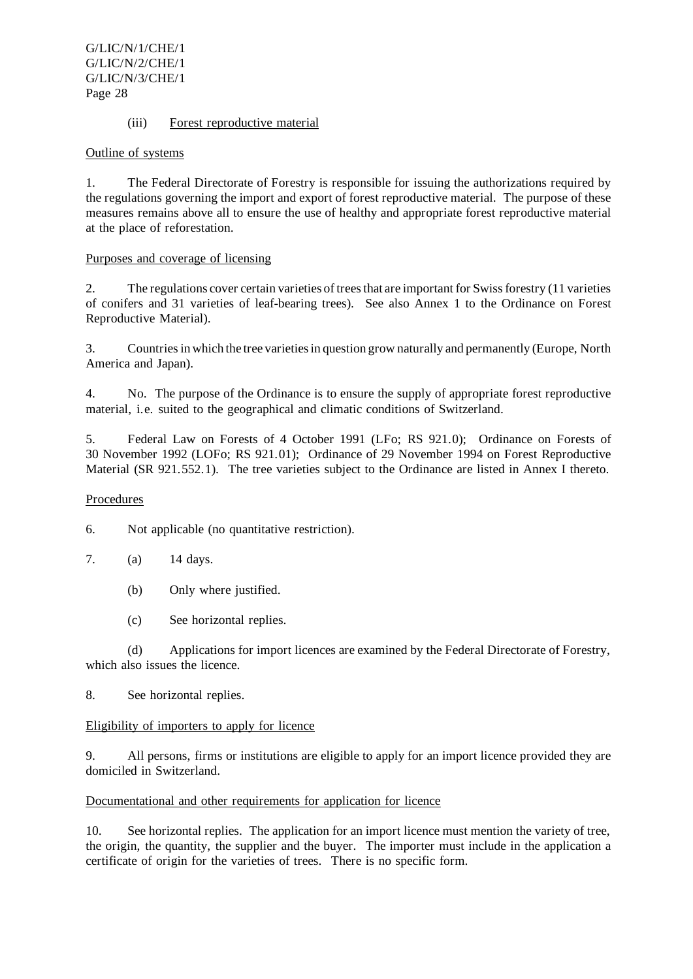#### (iii) Forest reproductive material

#### Outline of systems

1. The Federal Directorate of Forestry is responsible for issuing the authorizations required by the regulations governing the import and export of forest reproductive material. The purpose of these measures remains above all to ensure the use of healthy and appropriate forest reproductive material at the place of reforestation.

#### Purposes and coverage of licensing

2. The regulations cover certain varieties of trees that are important for Swiss forestry (11 varieties of conifers and 31 varieties of leaf-bearing trees). See also Annex 1 to the Ordinance on Forest Reproductive Material).

3. Countriesin which the tree varietiesin question grow naturally and permanently (Europe, North America and Japan).

4. No. The purpose of the Ordinance is to ensure the supply of appropriate forest reproductive material, i.e. suited to the geographical and climatic conditions of Switzerland.

5. Federal Law on Forests of 4 October 1991 (LFo; RS 921.0); Ordinance on Forests of 30 November 1992 (LOFo; RS 921.01); Ordinance of 29 November 1994 on Forest Reproductive Material (SR 921.552.1). The tree varieties subject to the Ordinance are listed in Annex I thereto.

#### **Procedures**

6. Not applicable (no quantitative restriction).

- 7. (a) 14 days.
	- (b) Only where justified.
	- (c) See horizontal replies.

(d) Applications for import licences are examined by the Federal Directorate of Forestry, which also issues the licence.

8. See horizontal replies.

#### Eligibility of importers to apply for licence

9. All persons, firms or institutions are eligible to apply for an import licence provided they are domiciled in Switzerland.

#### Documentational and other requirements for application for licence

10. See horizontal replies. The application for an import licence must mention the variety of tree, the origin, the quantity, the supplier and the buyer. The importer must include in the application a certificate of origin for the varieties of trees. There is no specific form.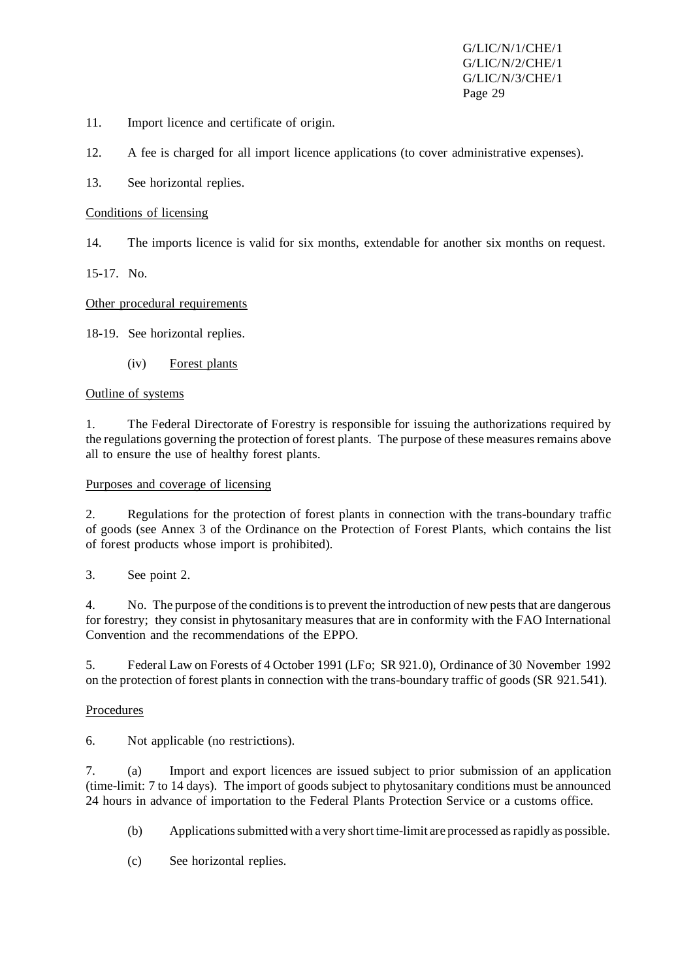- 11. Import licence and certificate of origin.
- 12. A fee is charged for all import licence applications (to cover administrative expenses).
- 13. See horizontal replies.

#### Conditions of licensing

14. The imports licence is valid for six months, extendable for another six months on request.

15-17. No.

Other procedural requirements

18-19. See horizontal replies.

(iv) Forest plants

#### Outline of systems

1. The Federal Directorate of Forestry is responsible for issuing the authorizations required by the regulations governing the protection of forest plants. The purpose of these measures remains above all to ensure the use of healthy forest plants.

#### Purposes and coverage of licensing

2. Regulations for the protection of forest plants in connection with the trans-boundary traffic of goods (see Annex 3 of the Ordinance on the Protection of Forest Plants, which contains the list of forest products whose import is prohibited).

3. See point 2.

4. No. The purpose of the conditionsisto prevent the introduction of new peststhat are dangerous for forestry; they consist in phytosanitary measures that are in conformity with the FAO International Convention and the recommendations of the EPPO.

5. Federal Law on Forests of 4 October 1991 (LFo; SR 921.0), Ordinance of 30 November 1992 on the protection of forest plants in connection with the trans-boundary traffic of goods (SR 921.541).

# Procedures

6. Not applicable (no restrictions).

7. (a) Import and export licences are issued subject to prior submission of an application (time-limit: 7 to 14 days). The import of goods subject to phytosanitary conditions must be announced 24 hours in advance of importation to the Federal Plants Protection Service or a customs office.

- (b) Applicationssubmitted with a very short time-limit are processed asrapidly as possible.
- (c) See horizontal replies.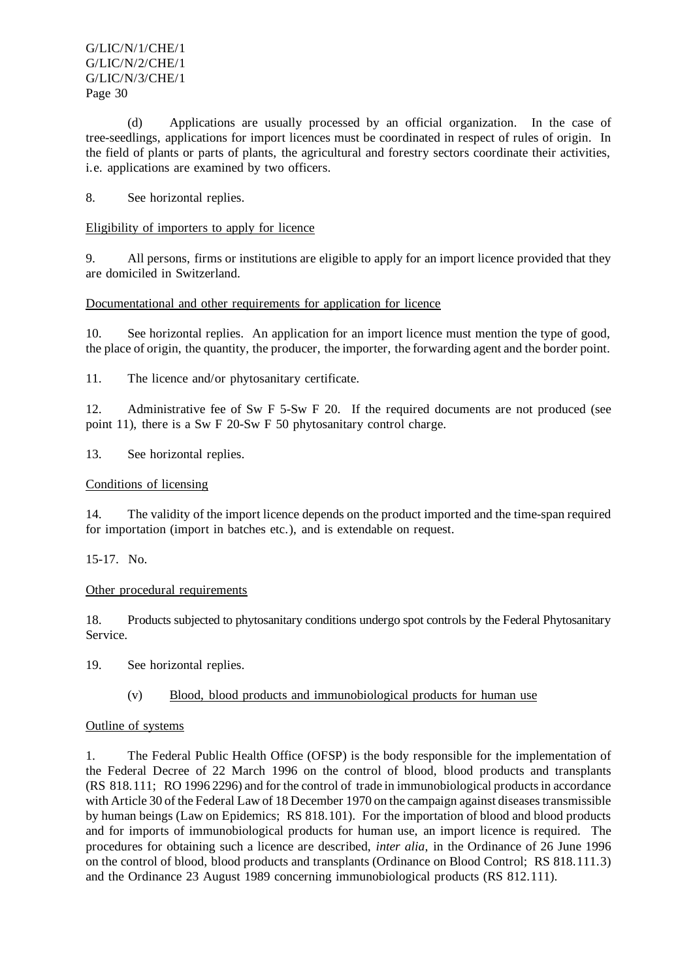(d) Applications are usually processed by an official organization. In the case of tree-seedlings, applications for import licences must be coordinated in respect of rules of origin. In the field of plants or parts of plants, the agricultural and forestry sectors coordinate their activities, i.e. applications are examined by two officers.

8. See horizontal replies.

## Eligibility of importers to apply for licence

9. All persons, firms or institutions are eligible to apply for an import licence provided that they are domiciled in Switzerland.

## Documentational and other requirements for application for licence

10. See horizontal replies. An application for an import licence must mention the type of good, the place of origin, the quantity, the producer, the importer, the forwarding agent and the border point.

11. The licence and/or phytosanitary certificate.

12. Administrative fee of Sw F 5-Sw F 20. If the required documents are not produced (see point 11), there is a Sw F 20-Sw F 50 phytosanitary control charge.

13. See horizontal replies.

#### Conditions of licensing

14. The validity of the import licence depends on the product imported and the time-span required for importation (import in batches etc.), and is extendable on request.

15-17. No.

#### Other procedural requirements

18. Products subjected to phytosanitary conditions undergo spot controls by the Federal Phytosanitary Service.

19. See horizontal replies.

# (v) Blood, blood products and immunobiological products for human use

#### Outline of systems

1. The Federal Public Health Office (OFSP) is the body responsible for the implementation of the Federal Decree of 22 March 1996 on the control of blood, blood products and transplants (RS 818.111; RO 1996 2296) and forthe control of trade in immunobiological productsin accordance with Article 30 of the Federal Law of 18 December 1970 on the campaign against diseases transmissible by human beings (Law on Epidemics; RS 818.101). For the importation of blood and blood products and for imports of immunobiological products for human use, an import licence is required. The procedures for obtaining such a licence are described, *inter alia*, in the Ordinance of 26 June 1996 on the control of blood, blood products and transplants (Ordinance on Blood Control; RS 818.111.3) and the Ordinance 23 August 1989 concerning immunobiological products (RS 812.111).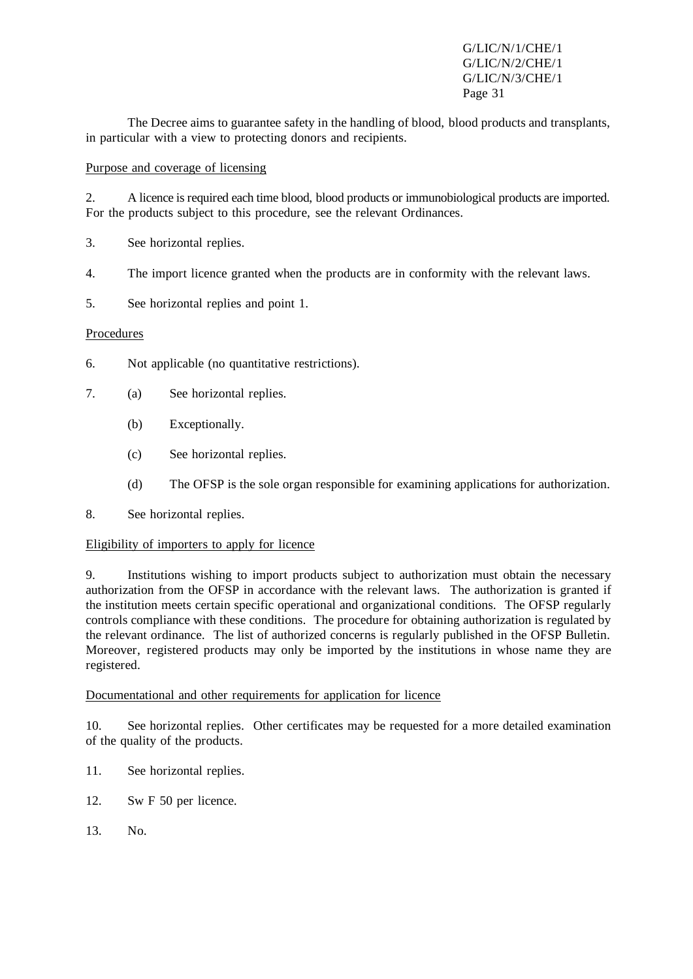The Decree aims to guarantee safety in the handling of blood, blood products and transplants, in particular with a view to protecting donors and recipients.

#### Purpose and coverage of licensing

2. A licence isrequired each time blood, blood products or immunobiological products are imported. For the products subject to this procedure, see the relevant Ordinances.

- 3. See horizontal replies.
- 4. The import licence granted when the products are in conformity with the relevant laws.
- 5. See horizontal replies and point 1.

## Procedures

- 6. Not applicable (no quantitative restrictions).
- 7. (a) See horizontal replies.
	- (b) Exceptionally.
	- (c) See horizontal replies.
	- (d) The OFSP is the sole organ responsible for examining applications for authorization.
- 8. See horizontal replies.

#### Eligibility of importers to apply for licence

9. Institutions wishing to import products subject to authorization must obtain the necessary authorization from the OFSP in accordance with the relevant laws. The authorization is granted if the institution meets certain specific operational and organizational conditions. The OFSP regularly controls compliance with these conditions. The procedure for obtaining authorization is regulated by the relevant ordinance. The list of authorized concerns is regularly published in the OFSP Bulletin. Moreover, registered products may only be imported by the institutions in whose name they are registered.

#### Documentational and other requirements for application for licence

10. See horizontal replies. Other certificates may be requested for a more detailed examination of the quality of the products.

- 11. See horizontal replies.
- 12. Sw F 50 per licence.
- 13. No.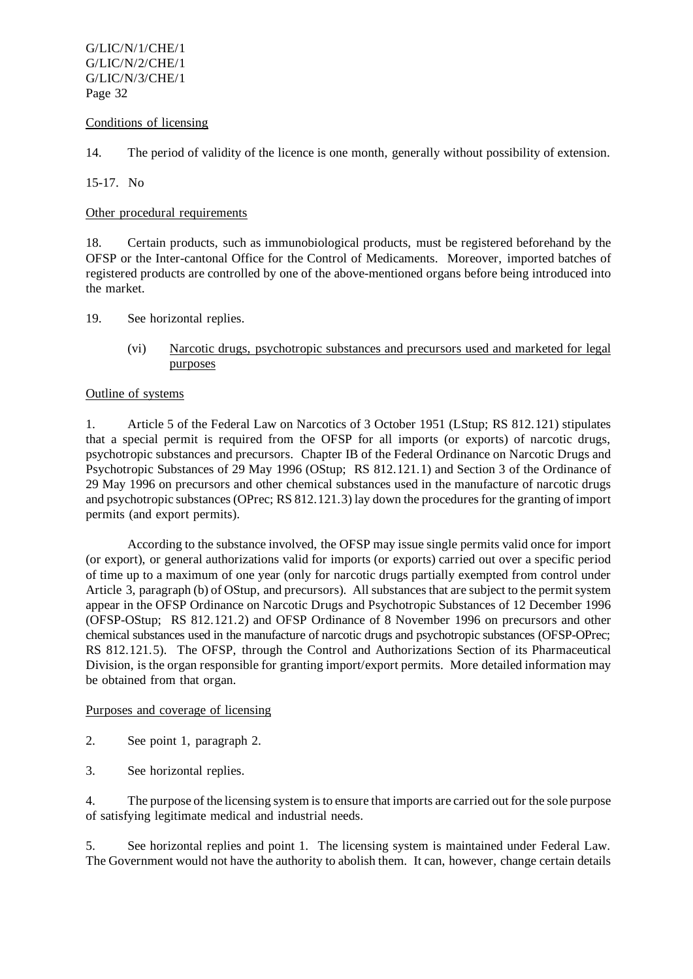#### Conditions of licensing

14. The period of validity of the licence is one month, generally without possibility of extension.

15-17. No

Other procedural requirements

18. Certain products, such as immunobiological products, must be registered beforehand by the OFSP or the Inter-cantonal Office for the Control of Medicaments. Moreover, imported batches of registered products are controlled by one of the above-mentioned organs before being introduced into the market.

19. See horizontal replies.

(vi) Narcotic drugs, psychotropic substances and precursors used and marketed for legal purposes

## Outline of systems

1. Article 5 of the Federal Law on Narcotics of 3 October 1951 (LStup; RS 812.121) stipulates that a special permit is required from the OFSP for all imports (or exports) of narcotic drugs, psychotropic substances and precursors. Chapter IB of the Federal Ordinance on Narcotic Drugs and Psychotropic Substances of 29 May 1996 (OStup; RS 812.121.1) and Section 3 of the Ordinance of 29 May 1996 on precursors and other chemical substances used in the manufacture of narcotic drugs and psychotropic substances(OPrec; RS 812.121.3) lay down the proceduresfor the granting of import permits (and export permits).

According to the substance involved, the OFSP may issue single permits valid once for import (or export), or general authorizations valid for imports (or exports) carried out over a specific period of time up to a maximum of one year (only for narcotic drugs partially exempted from control under Article 3, paragraph (b) of OStup, and precursors). All substances that are subject to the permit system appear in the OFSP Ordinance on Narcotic Drugs and Psychotropic Substances of 12 December 1996 (OFSP-OStup; RS 812.121.2) and OFSP Ordinance of 8 November 1996 on precursors and other chemical substances used in the manufacture of narcotic drugs and psychotropic substances (OFSP-OPrec; RS 812.121.5). The OFSP, through the Control and Authorizations Section of its Pharmaceutical Division, is the organ responsible for granting import/export permits. More detailed information may be obtained from that organ.

#### Purposes and coverage of licensing

- 2. See point 1, paragraph 2.
- 3. See horizontal replies.

4. The purpose of the licensing system isto ensure that imports are carried out for the sole purpose of satisfying legitimate medical and industrial needs.

5. See horizontal replies and point 1. The licensing system is maintained under Federal Law. The Government would not have the authority to abolish them. It can, however, change certain details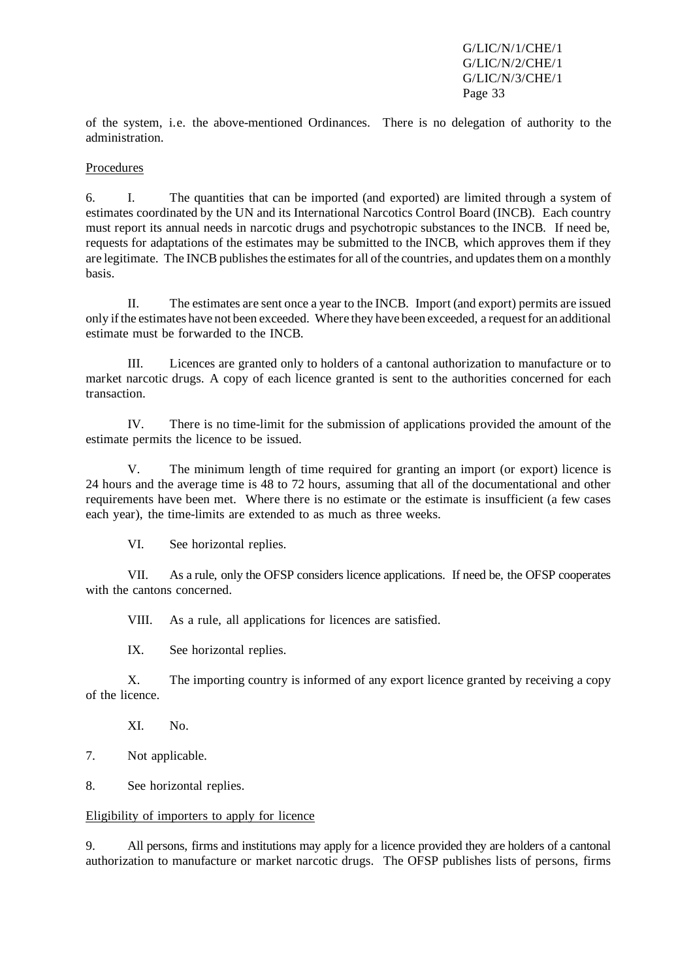of the system, i.e. the above-mentioned Ordinances. There is no delegation of authority to the administration.

#### Procedures

6. I. The quantities that can be imported (and exported) are limited through a system of estimates coordinated by the UN and its International Narcotics Control Board (INCB). Each country must report its annual needs in narcotic drugs and psychotropic substances to the INCB. If need be, requests for adaptations of the estimates may be submitted to the INCB, which approves them if they are legitimate. The INCB publishes the estimates for all of the countries, and updates them on a monthly basis.

II. The estimates are sent once a year to the INCB. Import (and export) permits are issued only if the estimates have not been exceeded. Where they have been exceeded, a request for an additional estimate must be forwarded to the INCB.

III. Licences are granted only to holders of a cantonal authorization to manufacture or to market narcotic drugs. A copy of each licence granted is sent to the authorities concerned for each transaction.

IV. There is no time-limit for the submission of applications provided the amount of the estimate permits the licence to be issued.

V. The minimum length of time required for granting an import (or export) licence is 24 hours and the average time is 48 to 72 hours, assuming that all of the documentational and other requirements have been met. Where there is no estimate or the estimate is insufficient (a few cases each year), the time-limits are extended to as much as three weeks.

VI. See horizontal replies.

VII. As a rule, only the OFSP considers licence applications. If need be, the OFSP cooperates with the cantons concerned.

VIII. As a rule, all applications for licences are satisfied.

IX. See horizontal replies.

X. The importing country is informed of any export licence granted by receiving a copy of the licence.

XI. No.

7. Not applicable.

8. See horizontal replies.

#### Eligibility of importers to apply for licence

9. All persons, firms and institutions may apply for a licence provided they are holders of a cantonal authorization to manufacture or market narcotic drugs. The OFSP publishes lists of persons, firms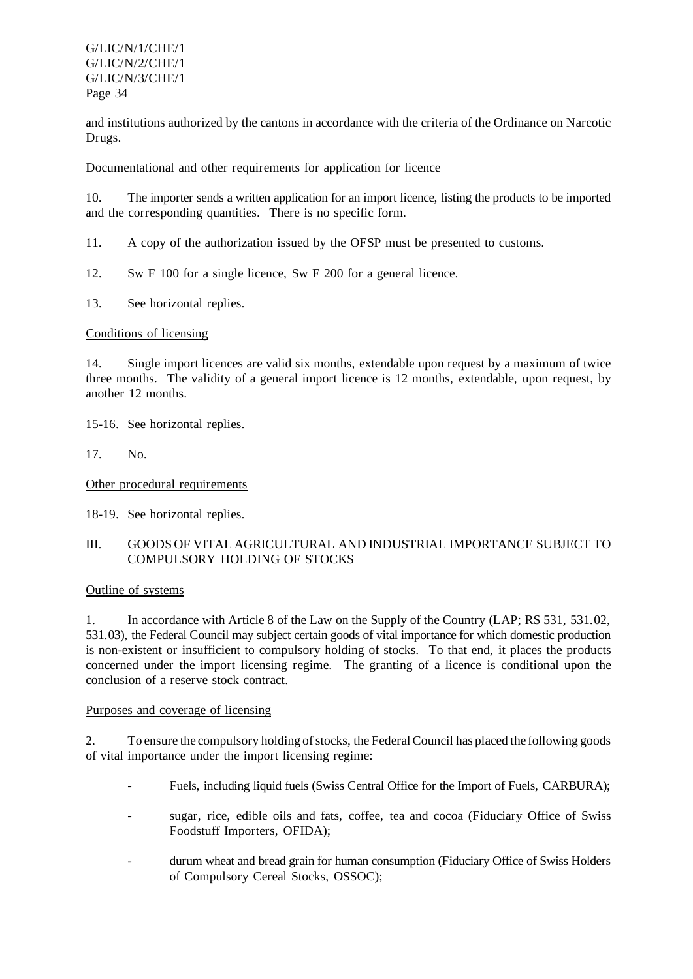and institutions authorized by the cantons in accordance with the criteria of the Ordinance on Narcotic Drugs.

Documentational and other requirements for application for licence

10. The importer sends a written application for an import licence, listing the products to be imported and the corresponding quantities. There is no specific form.

11. A copy of the authorization issued by the OFSP must be presented to customs.

- 12. Sw F 100 for a single licence, Sw F 200 for a general licence.
- 13. See horizontal replies.

#### Conditions of licensing

14. Single import licences are valid six months, extendable upon request by a maximum of twice three months. The validity of a general import licence is 12 months, extendable, upon request, by another 12 months.

15-16. See horizontal replies.

17. No.

Other procedural requirements

18-19. See horizontal replies.

## III. GOODS OF VITAL AGRICULTURAL AND INDUSTRIAL IMPORTANCE SUBJECT TO COMPULSORY HOLDING OF STOCKS

#### Outline of systems

1. In accordance with Article 8 of the Law on the Supply of the Country (LAP; RS 531, 531.02, 531.03), the Federal Council may subject certain goods of vital importance for which domestic production is non-existent or insufficient to compulsory holding of stocks. To that end, it places the products concerned under the import licensing regime. The granting of a licence is conditional upon the conclusion of a reserve stock contract.

#### Purposes and coverage of licensing

2. To ensure the compulsory holding of stocks, the Federal Council has placed the following goods of vital importance under the import licensing regime:

- Fuels, including liquid fuels (Swiss Central Office for the Import of Fuels, CARBURA);
- sugar, rice, edible oils and fats, coffee, tea and cocoa (Fiduciary Office of Swiss Foodstuff Importers, OFIDA);
- durum wheat and bread grain for human consumption (Fiduciary Office of Swiss Holders of Compulsory Cereal Stocks, OSSOC);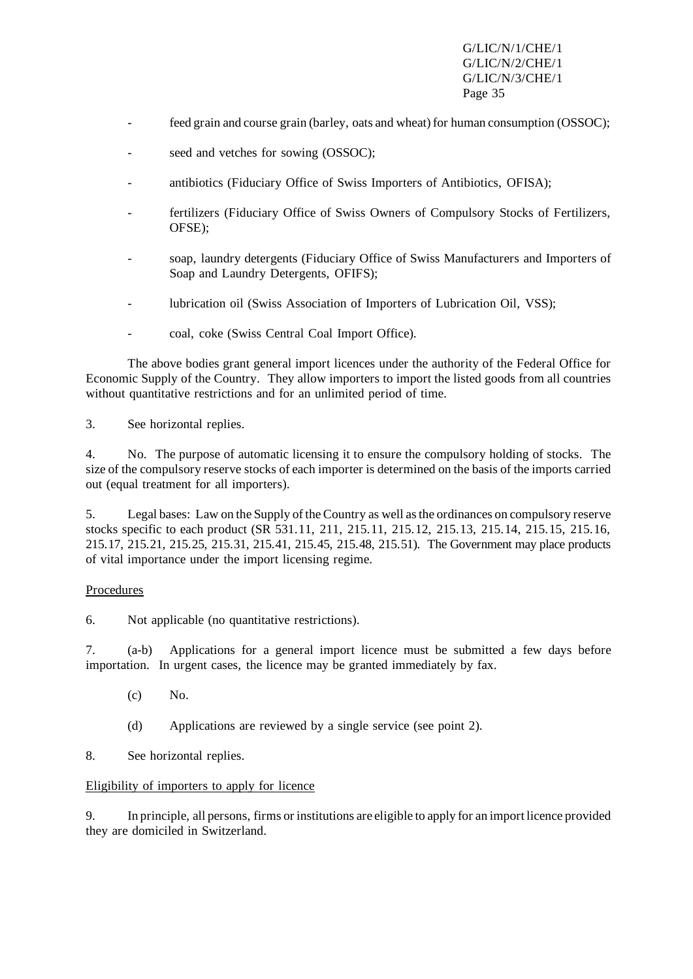- feed grain and course grain (barley, oats and wheat) for human consumption (OSSOC);
- seed and vetches for sowing (OSSOC);
- antibiotics (Fiduciary Office of Swiss Importers of Antibiotics, OFISA);
- fertilizers (Fiduciary Office of Swiss Owners of Compulsory Stocks of Fertilizers, OFSE);
- soap, laundry detergents (Fiduciary Office of Swiss Manufacturers and Importers of Soap and Laundry Detergents, OFIFS);
- lubrication oil (Swiss Association of Importers of Lubrication Oil, VSS);
- coal, coke (Swiss Central Coal Import Office).

The above bodies grant general import licences under the authority of the Federal Office for Economic Supply of the Country. They allow importers to import the listed goods from all countries without quantitative restrictions and for an unlimited period of time.

3. See horizontal replies.

4. No. The purpose of automatic licensing it to ensure the compulsory holding of stocks. The size of the compulsory reserve stocks of each importer is determined on the basis of the imports carried out (equal treatment for all importers).

5. Legal bases: Law on the Supply of the Country as well asthe ordinances on compulsory reserve stocks specific to each product (SR 531.11, 211, 215.11, 215.12, 215.13, 215.14, 215.15, 215.16, 215.17, 215.21, 215.25, 215.31, 215.41, 215.45, 215.48, 215.51). The Government may place products of vital importance under the import licensing regime.

# Procedures

6. Not applicable (no quantitative restrictions).

7. (a-b) Applications for a general import licence must be submitted a few days before importation. In urgent cases, the licence may be granted immediately by fax.

- $(c)$  No.
- (d) Applications are reviewed by a single service (see point 2).
- 8. See horizontal replies.

#### Eligibility of importers to apply for licence

9. In principle, all persons, firms orinstitutions are eligible to apply for an import licence provided they are domiciled in Switzerland.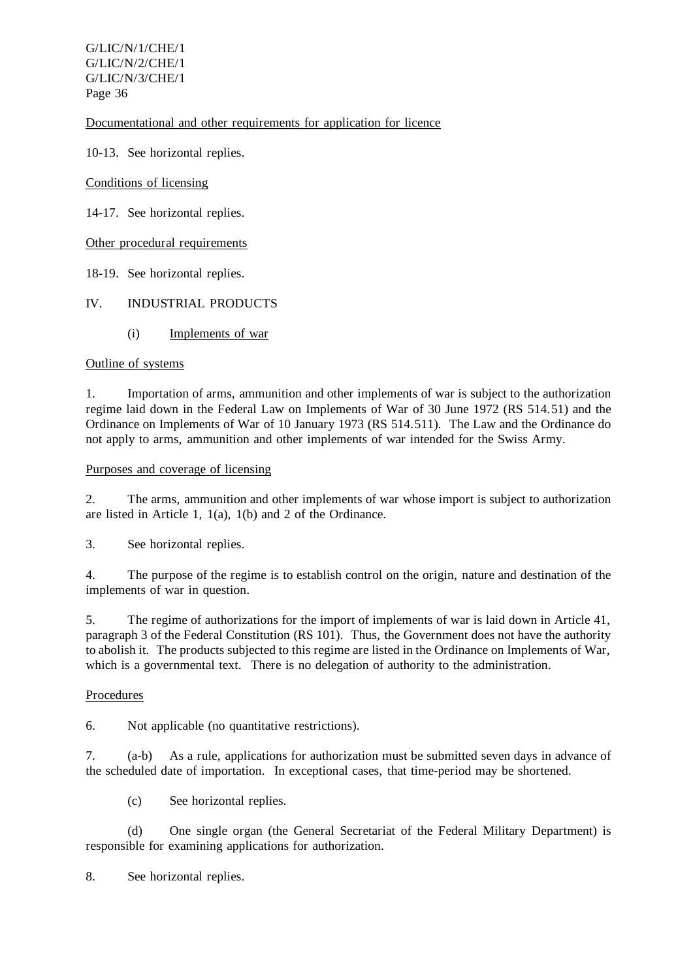Documentational and other requirements for application for licence

10-13. See horizontal replies.

Conditions of licensing

14-17. See horizontal replies.

Other procedural requirements

18-19. See horizontal replies.

## IV. INDUSTRIAL PRODUCTS

(i) Implements of war

#### Outline of systems

1. Importation of arms, ammunition and other implements of war is subject to the authorization regime laid down in the Federal Law on Implements of War of 30 June 1972 (RS 514.51) and the Ordinance on Implements of War of 10 January 1973 (RS 514.511). The Law and the Ordinance do not apply to arms, ammunition and other implements of war intended for the Swiss Army.

#### Purposes and coverage of licensing

2. The arms, ammunition and other implements of war whose import is subject to authorization are listed in Article 1, 1(a), 1(b) and 2 of the Ordinance.

3. See horizontal replies.

4. The purpose of the regime is to establish control on the origin, nature and destination of the implements of war in question.

5. The regime of authorizations for the import of implements of war is laid down in Article 41, paragraph 3 of the Federal Constitution (RS 101). Thus, the Government does not have the authority to abolish it. The products subjected to this regime are listed in the Ordinance on Implements of War, which is a governmental text. There is no delegation of authority to the administration.

#### Procedures

6. Not applicable (no quantitative restrictions).

7. (a-b) As a rule, applications for authorization must be submitted seven days in advance of the scheduled date of importation. In exceptional cases, that time-period may be shortened.

(c) See horizontal replies.

(d) One single organ (the General Secretariat of the Federal Military Department) is responsible for examining applications for authorization.

8. See horizontal replies.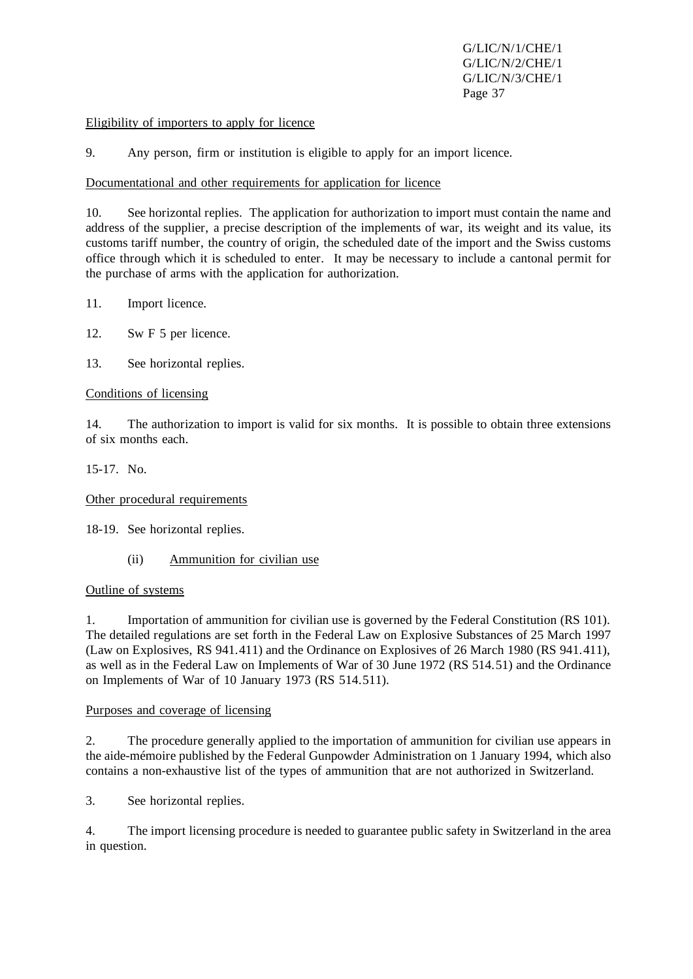#### Eligibility of importers to apply for licence

9. Any person, firm or institution is eligible to apply for an import licence.

#### Documentational and other requirements for application for licence

10. See horizontal replies. The application for authorization to import must contain the name and address of the supplier, a precise description of the implements of war, its weight and its value, its customs tariff number, the country of origin, the scheduled date of the import and the Swiss customs office through which it is scheduled to enter. It may be necessary to include a cantonal permit for the purchase of arms with the application for authorization.

- 11. Import licence.
- 12. Sw F 5 per licence.
- 13. See horizontal replies.

#### Conditions of licensing

14. The authorization to import is valid for six months. It is possible to obtain three extensions of six months each.

15-17. No.

Other procedural requirements

18-19. See horizontal replies.

(ii) Ammunition for civilian use

#### Outline of systems

1. Importation of ammunition for civilian use is governed by the Federal Constitution (RS 101). The detailed regulations are set forth in the Federal Law on Explosive Substances of 25 March 1997 (Law on Explosives, RS 941.411) and the Ordinance on Explosives of 26 March 1980 (RS 941.411), as well as in the Federal Law on Implements of War of 30 June 1972 (RS 514.51) and the Ordinance on Implements of War of 10 January 1973 (RS 514.511).

#### Purposes and coverage of licensing

2. The procedure generally applied to the importation of ammunition for civilian use appears in the aide-mémoire published by the Federal Gunpowder Administration on 1 January 1994, which also contains a non-exhaustive list of the types of ammunition that are not authorized in Switzerland.

3. See horizontal replies.

4. The import licensing procedure is needed to guarantee public safety in Switzerland in the area in question.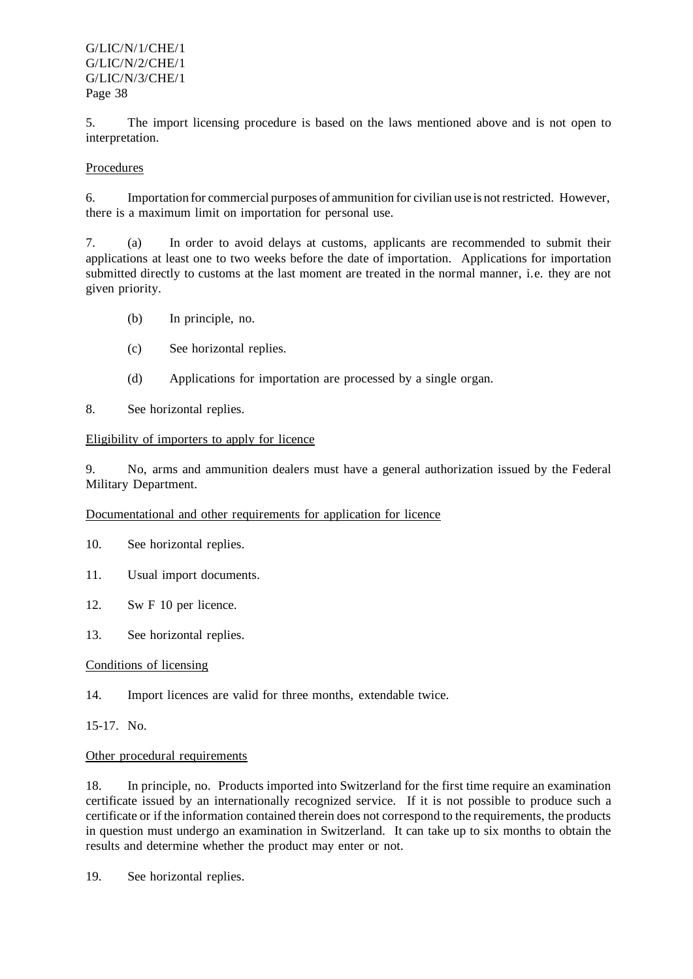5. The import licensing procedure is based on the laws mentioned above and is not open to interpretation.

## Procedures

6. Importation for commercial purposes of ammunition for civilian use is notrestricted. However, there is a maximum limit on importation for personal use.

7. (a) In order to avoid delays at customs, applicants are recommended to submit their applications at least one to two weeks before the date of importation. Applications for importation submitted directly to customs at the last moment are treated in the normal manner, i.e. they are not given priority.

- (b) In principle, no.
- (c) See horizontal replies.
- (d) Applications for importation are processed by a single organ.

8. See horizontal replies.

#### Eligibility of importers to apply for licence

9. No, arms and ammunition dealers must have a general authorization issued by the Federal Military Department.

#### Documentational and other requirements for application for licence

- 10. See horizontal replies.
- 11. Usual import documents.
- 12. Sw F 10 per licence.
- 13. See horizontal replies.

#### Conditions of licensing

14. Import licences are valid for three months, extendable twice.

15-17. No.

#### Other procedural requirements

18. In principle, no. Products imported into Switzerland for the first time require an examination certificate issued by an internationally recognized service. If it is not possible to produce such a certificate or if the information contained therein does not correspond to the requirements, the products in question must undergo an examination in Switzerland. It can take up to six months to obtain the results and determine whether the product may enter or not.

19. See horizontal replies.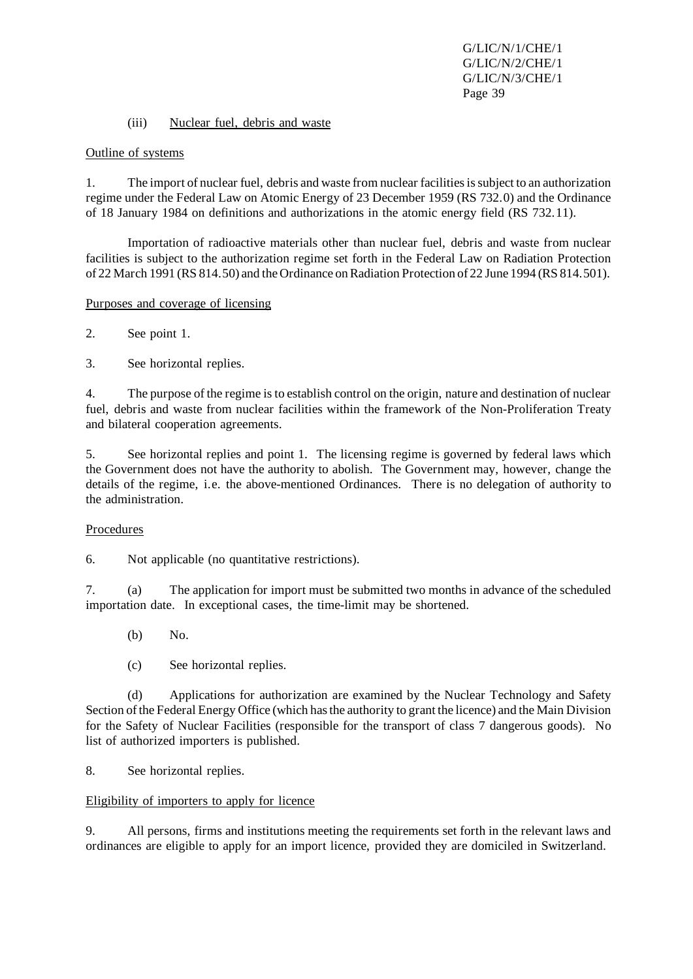#### (iii) Nuclear fuel, debris and waste

#### Outline of systems

1. The import of nuclear fuel, debris and waste from nuclear facilities is subject to an authorization regime under the Federal Law on Atomic Energy of 23 December 1959 (RS 732.0) and the Ordinance of 18 January 1984 on definitions and authorizations in the atomic energy field (RS 732.11).

Importation of radioactive materials other than nuclear fuel, debris and waste from nuclear facilities is subject to the authorization regime set forth in the Federal Law on Radiation Protection of 22 March 1991 (RS 814.50) and the Ordinance on Radiation Protection of 22 June 1994 (RS 814.501).

#### Purposes and coverage of licensing

2. See point 1.

3. See horizontal replies.

4. The purpose of the regime isto establish control on the origin, nature and destination of nuclear fuel, debris and waste from nuclear facilities within the framework of the Non-Proliferation Treaty and bilateral cooperation agreements.

5. See horizontal replies and point 1. The licensing regime is governed by federal laws which the Government does not have the authority to abolish. The Government may, however, change the details of the regime, i.e. the above-mentioned Ordinances. There is no delegation of authority to the administration.

#### Procedures

6. Not applicable (no quantitative restrictions).

7. (a) The application for import must be submitted two months in advance of the scheduled importation date. In exceptional cases, the time-limit may be shortened.

- (b) No.
- (c) See horizontal replies.

(d) Applications for authorization are examined by the Nuclear Technology and Safety Section of the Federal Energy Office (which has the authority to grant the licence) and the Main Division for the Safety of Nuclear Facilities (responsible for the transport of class 7 dangerous goods). No list of authorized importers is published.

#### 8. See horizontal replies.

#### Eligibility of importers to apply for licence

9. All persons, firms and institutions meeting the requirements set forth in the relevant laws and ordinances are eligible to apply for an import licence, provided they are domiciled in Switzerland.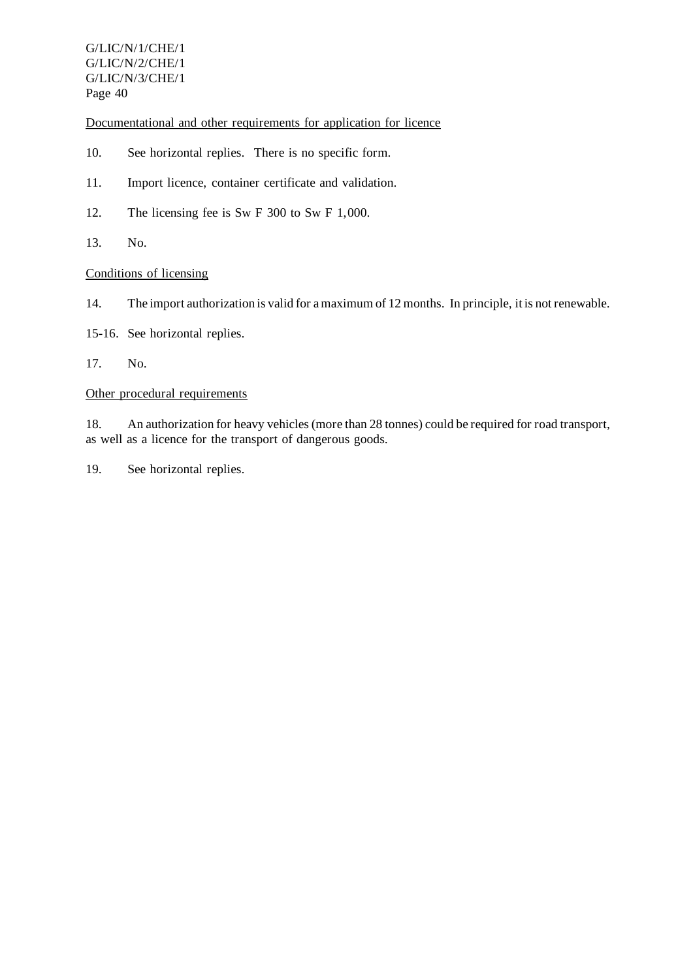Documentational and other requirements for application for licence

- 10. See horizontal replies. There is no specific form.
- 11. Import licence, container certificate and validation.
- 12. The licensing fee is Sw F 300 to Sw F 1,000.
- 13. No.

# Conditions of licensing

- 14. The import authorization is valid for amaximum of 12 months. In principle, it is notrenewable.
- 15-16. See horizontal replies.
- 17. No.

## Other procedural requirements

18. An authorization for heavy vehicles(more than 28 tonnes) could be required for road transport, as well as a licence for the transport of dangerous goods.

19. See horizontal replies.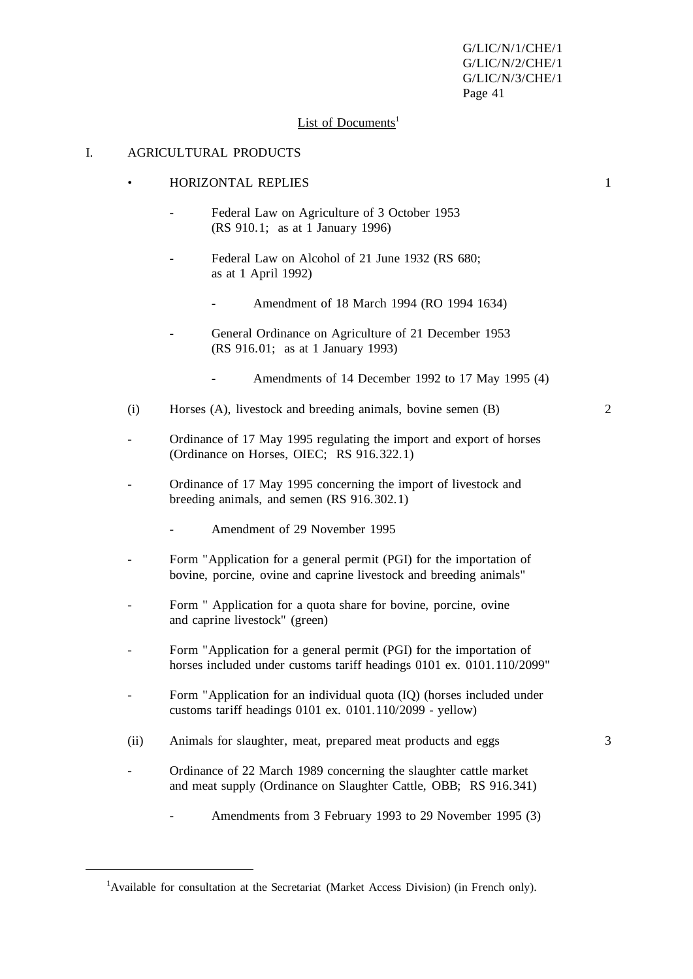#### List of Documents<sup>1</sup>

#### I. AGRICULTURAL PRODUCTS

- HORIZONTAL REPLIES 1
	- Federal Law on Agriculture of 3 October 1953 (RS 910.1; as at 1 January 1996)
	- Federal Law on Alcohol of 21 June 1932 (RS 680; as at 1 April 1992)
		- Amendment of 18 March 1994 (RO 1994 1634)
	- General Ordinance on Agriculture of 21 December 1953 (RS 916.01; as at 1 January 1993)
		- Amendments of 14 December 1992 to 17 May 1995 (4)
- (i) Horses (A), livestock and breeding animals, bovine semen (B) 2
- Ordinance of 17 May 1995 regulating the import and export of horses (Ordinance on Horses, OIEC; RS 916.322.1)
- Ordinance of 17 May 1995 concerning the import of livestock and breeding animals, and semen (RS 916.302.1)
	- Amendment of 29 November 1995
- Form "Application for a general permit (PGI) for the importation of bovine, porcine, ovine and caprine livestock and breeding animals"
- Form " Application for a quota share for bovine, porcine, ovine and caprine livestock" (green)
- Form "Application for a general permit (PGI) for the importation of horses included under customs tariff headings 0101 ex. 0101.110/2099"
- Form "Application for an individual quota (IQ) (horses included under customs tariff headings 0101 ex. 0101.110/2099 - yellow)
- (ii) Animals for slaughter, meat, prepared meat products and eggs 3
- Ordinance of 22 March 1989 concerning the slaughter cattle market and meat supply (Ordinance on Slaughter Cattle, OBB; RS 916.341)
	- Amendments from 3 February 1993 to 29 November 1995 (3)

<sup>&</sup>lt;sup>1</sup>Available for consultation at the Secretariat (Market Access Division) (in French only).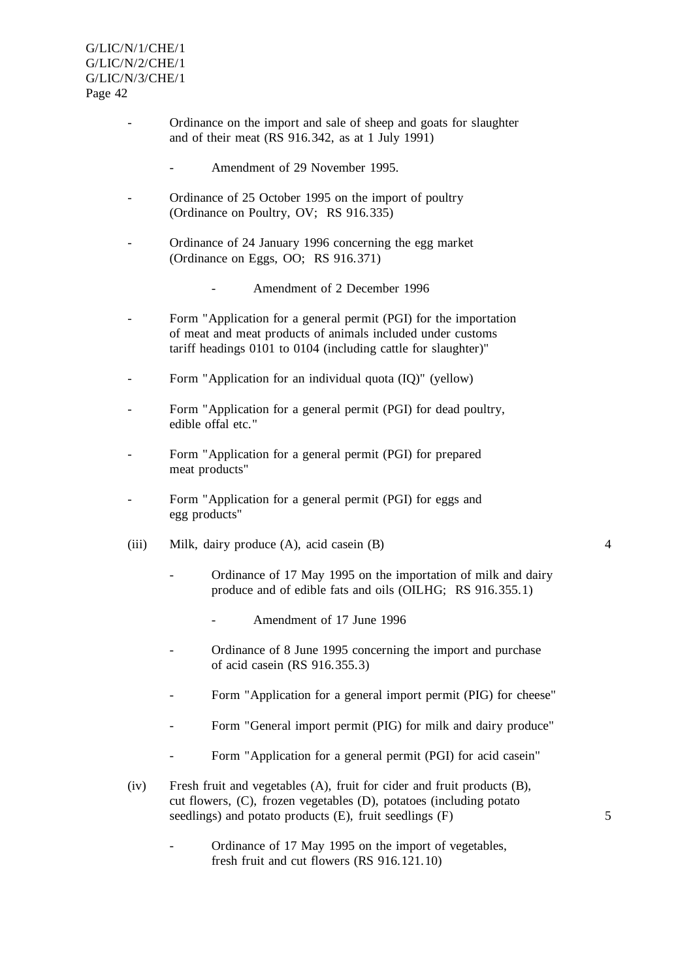- Ordinance on the import and sale of sheep and goats for slaughter and of their meat (RS 916.342, as at 1 July 1991)
	- Amendment of 29 November 1995.
- Ordinance of 25 October 1995 on the import of poultry (Ordinance on Poultry, OV; RS 916.335)
- Ordinance of 24 January 1996 concerning the egg market (Ordinance on Eggs, OO; RS 916.371)
	- Amendment of 2 December 1996
- Form "Application for a general permit (PGI) for the importation of meat and meat products of animals included under customs tariff headings 0101 to 0104 (including cattle for slaughter)"
- Form "Application for an individual quota (IQ)" (yellow)
- Form "Application for a general permit (PGI) for dead poultry, edible offal etc."
- Form "Application for a general permit (PGI) for prepared meat products"
- Form "Application for a general permit (PGI) for eggs and egg products"
- (iii) Milk, dairy produce (A), acid casein (B) 4
	- Ordinance of 17 May 1995 on the importation of milk and dairy produce and of edible fats and oils (OILHG; RS 916.355.1)
		- Amendment of 17 June 1996
	- Ordinance of 8 June 1995 concerning the import and purchase of acid casein (RS 916.355.3)
	- Form "Application for a general import permit (PIG) for cheese"
	- Form "General import permit (PIG) for milk and dairy produce"
	- Form "Application for a general permit (PGI) for acid casein"
- (iv) Fresh fruit and vegetables (A), fruit for cider and fruit products (B), cut flowers, (C), frozen vegetables (D), potatoes (including potato seedlings) and potato products (E), fruit seedlings (F) 5
	- Ordinance of 17 May 1995 on the import of vegetables, fresh fruit and cut flowers (RS 916.121.10)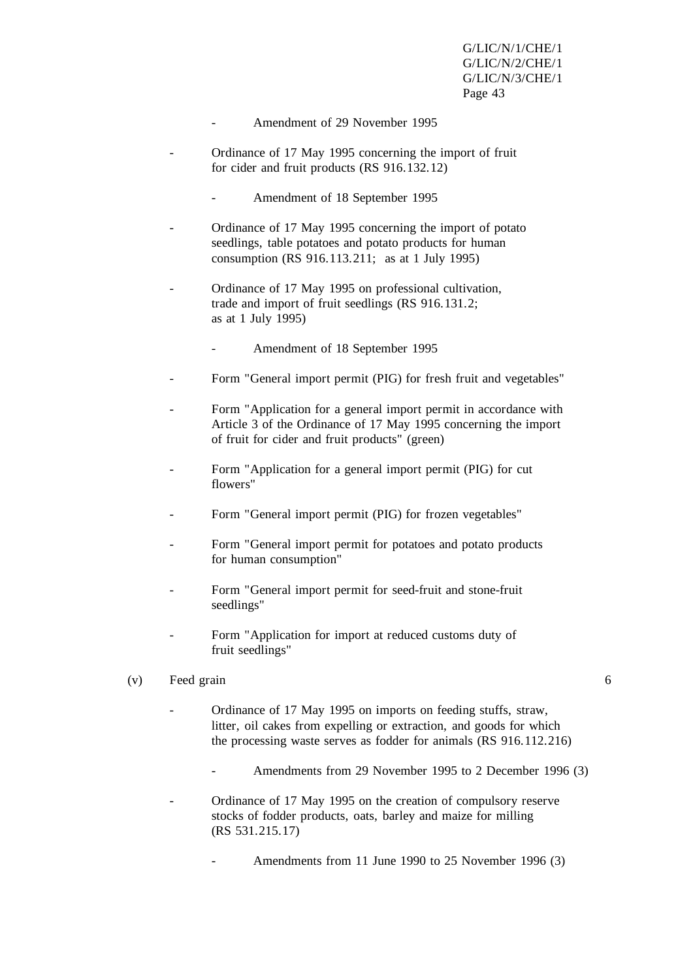- Amendment of 29 November 1995
- Ordinance of 17 May 1995 concerning the import of fruit for cider and fruit products (RS 916.132.12)
	- Amendment of 18 September 1995
- Ordinance of 17 May 1995 concerning the import of potato seedlings, table potatoes and potato products for human consumption (RS 916.113.211; as at 1 July 1995)
- Ordinance of 17 May 1995 on professional cultivation, trade and import of fruit seedlings (RS 916.131.2; as at 1 July 1995)
	- Amendment of 18 September 1995
- Form "General import permit (PIG) for fresh fruit and vegetables"
- Form "Application for a general import permit in accordance with Article 3 of the Ordinance of 17 May 1995 concerning the import of fruit for cider and fruit products" (green)
- Form "Application for a general import permit (PIG) for cut flowers"
- Form "General import permit (PIG) for frozen vegetables"
- Form "General import permit for potatoes and potato products for human consumption"
- Form "General import permit for seed-fruit and stone-fruit seedlings"
- Form "Application for import at reduced customs duty of fruit seedlings"
- (v) Feed grain 6
	-
	- Ordinance of 17 May 1995 on imports on feeding stuffs, straw, litter, oil cakes from expelling or extraction, and goods for which the processing waste serves as fodder for animals (RS 916.112.216)
		- Amendments from 29 November 1995 to 2 December 1996 (3)
	- Ordinance of 17 May 1995 on the creation of compulsory reserve stocks of fodder products, oats, barley and maize for milling (RS 531.215.17)
		- Amendments from 11 June 1990 to 25 November 1996 (3)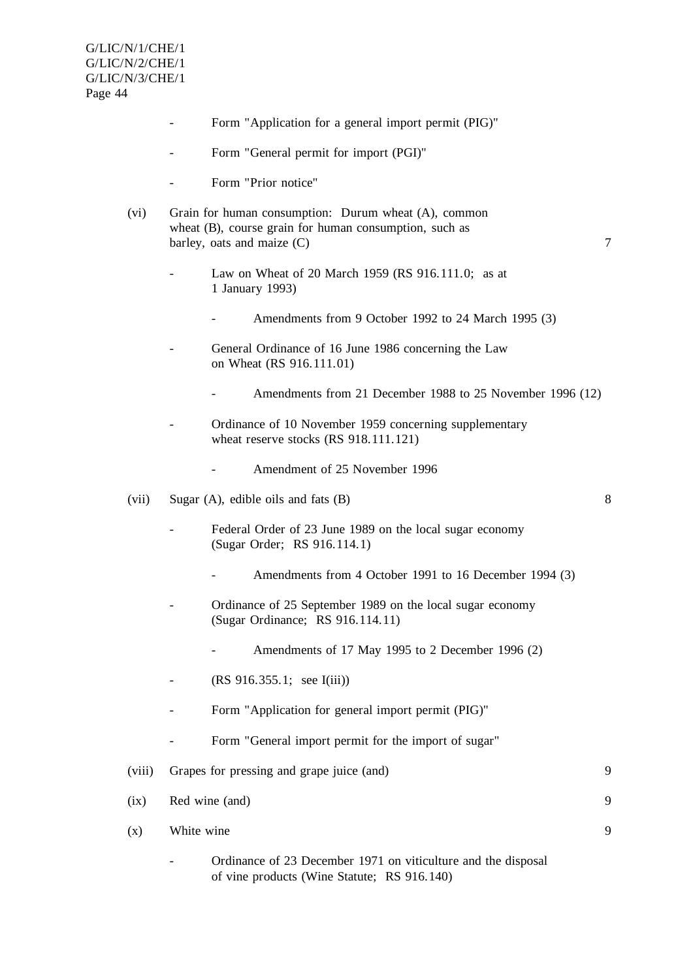- Form "Application for a general import permit (PIG)"
- Form "General permit for import (PGI)"
- Form "Prior notice"
- (vi) Grain for human consumption: Durum wheat (A), common wheat (B), course grain for human consumption, such as barley, oats and maize  $(C)$  7
	- Law on Wheat of 20 March 1959 (RS 916.111.0; as at 1 January 1993)
		- Amendments from 9 October 1992 to 24 March 1995 (3)
	- General Ordinance of 16 June 1986 concerning the Law on Wheat (RS 916.111.01)
		- Amendments from 21 December 1988 to 25 November 1996 (12)
	- Ordinance of 10 November 1959 concerning supplementary wheat reserve stocks (RS 918.111.121)
		- Amendment of 25 November 1996
- (vii) Sugar (A), edible oils and fats (B) 8
	- Federal Order of 23 June 1989 on the local sugar economy (Sugar Order; RS 916.114.1)
		- Amendments from 4 October 1991 to 16 December 1994 (3)
	- Ordinance of 25 September 1989 on the local sugar economy (Sugar Ordinance; RS 916.114.11)
		- Amendments of 17 May 1995 to 2 December 1996 (2)
	- (RS 916.355.1; see I(iii))
	- Form "Application for general import permit (PIG)"
	- Form "General import permit for the import of sugar"
- (viii) Grapes for pressing and grape juice (and) 9 (ix) Red wine (and) 9
	- Ordinance of 23 December 1971 on viticulture and the disposal of vine products (Wine Statute; RS 916.140)

 $(x)$  White wine 9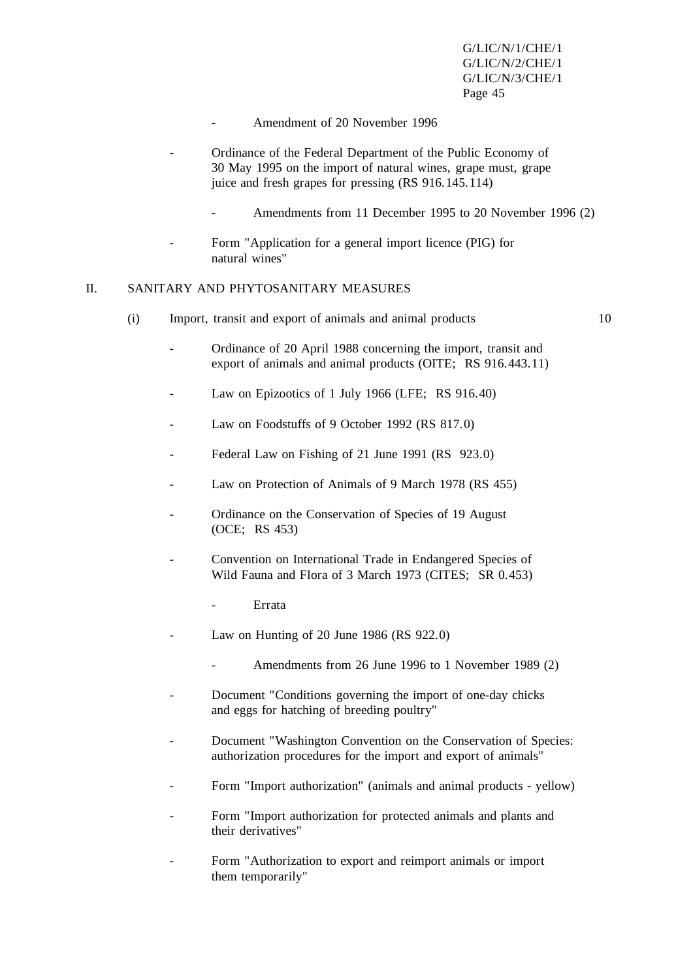- Amendment of 20 November 1996
- Ordinance of the Federal Department of the Public Economy of 30 May 1995 on the import of natural wines, grape must, grape juice and fresh grapes for pressing (RS 916.145.114)
	- Amendments from 11 December 1995 to 20 November 1996 (2)
- Form "Application for a general import licence (PIG) for natural wines"

# II. SANITARY AND PHYTOSANITARY MEASURES

(i) Import, transit and export of animals and animal products 10

- Ordinance of 20 April 1988 concerning the import, transit and export of animals and animal products (OITE; RS 916.443.11)
- Law on Epizootics of 1 July 1966 (LFE; RS 916.40)
- Law on Foodstuffs of 9 October 1992 (RS 817.0)
- Federal Law on Fishing of 21 June 1991 (RS 923.0)
- Law on Protection of Animals of 9 March 1978 (RS 455)
- Ordinance on the Conservation of Species of 19 August (OCE; RS 453)
- Convention on International Trade in Endangered Species of Wild Fauna and Flora of 3 March 1973 (CITES; SR 0.453)
	- **Errata**
- Law on Hunting of 20 June 1986 (RS  $922.0$ )
	- Amendments from 26 June 1996 to 1 November 1989 (2)
- Document "Conditions governing the import of one-day chicks" and eggs for hatching of breeding poultry"
- Document "Washington Convention on the Conservation of Species: authorization procedures for the import and export of animals"
- Form "Import authorization" (animals and animal products yellow)
- Form "Import authorization for protected animals and plants and their derivatives"
- Form "Authorization to export and reimport animals or import them temporarily"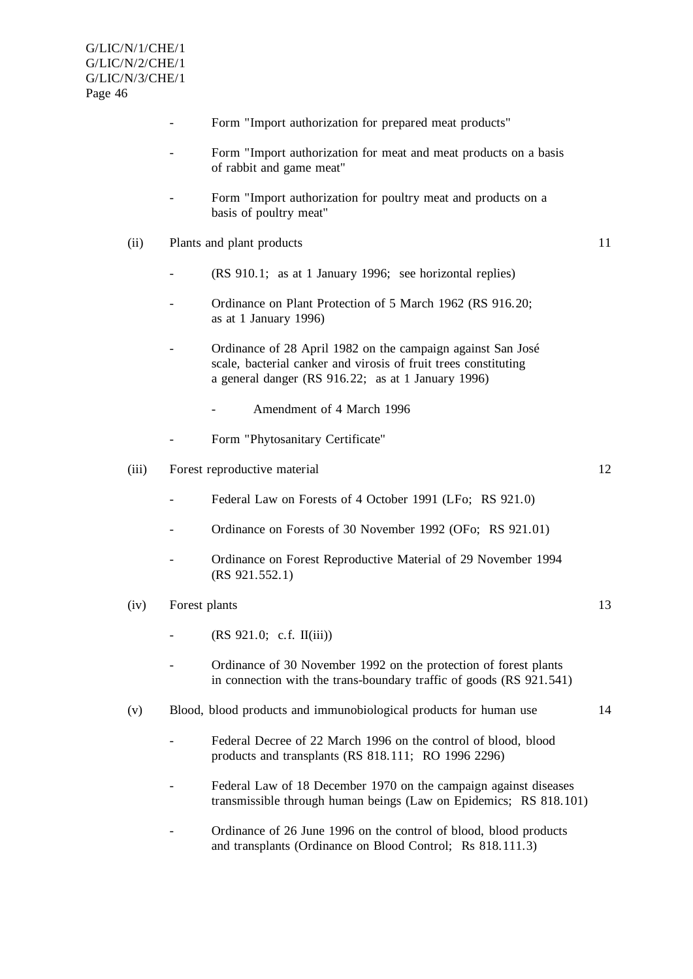- Form "Import authorization for prepared meat products"
- Form "Import authorization for meat and meat products on a basis of rabbit and game meat"
- Form "Import authorization for poultry meat and products on a basis of poultry meat"
- (ii) Plants and plant products 11
	- (RS 910.1; as at 1 January 1996; see horizontal replies)
	- Ordinance on Plant Protection of 5 March 1962 (RS 916.20; as at 1 January 1996)
	- Ordinance of 28 April 1982 on the campaign against San José scale, bacterial canker and virosis of fruit trees constituting a general danger (RS 916.22; as at 1 January 1996)
		- Amendment of 4 March 1996
	- Form "Phytosanitary Certificate"
- (iii) Forest reproductive material 12
	- Federal Law on Forests of 4 October 1991 (LFo; RS 921.0)
	- Ordinance on Forests of 30 November 1992 (OFo: RS 921.01)
	- Ordinance on Forest Reproductive Material of 29 November 1994 (RS 921.552.1)
- (iv) Forest plants 13
	- $(RS 921.0; c.f. II(iii))$
	- Ordinance of 30 November 1992 on the protection of forest plants in connection with the trans-boundary traffic of goods (RS 921.541)
- (v) Blood, blood products and immunobiological products for human use 14
	- Federal Decree of 22 March 1996 on the control of blood, blood products and transplants (RS 818.111; RO 1996 2296)
	- Federal Law of 18 December 1970 on the campaign against diseases transmissible through human beings (Law on Epidemics; RS 818.101)
	- Ordinance of 26 June 1996 on the control of blood, blood products and transplants (Ordinance on Blood Control; Rs 818.111.3)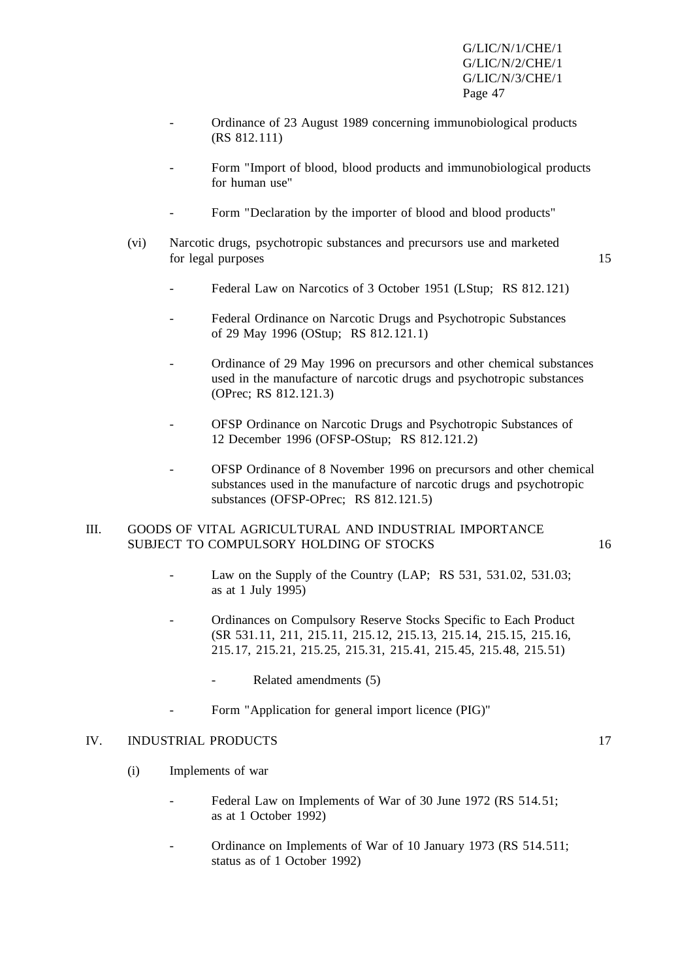- Ordinance of 23 August 1989 concerning immunobiological products (RS 812.111)
- Form "Import of blood, blood products and immunobiological products for human use"
- Form "Declaration by the importer of blood and blood products"
- (vi) Narcotic drugs, psychotropic substances and precursors use and marketed for legal purposes 15

- Federal Law on Narcotics of 3 October 1951 (LStup; RS 812.121)
- Federal Ordinance on Narcotic Drugs and Psychotropic Substances of 29 May 1996 (OStup; RS 812.121.1)
- Ordinance of 29 May 1996 on precursors and other chemical substances used in the manufacture of narcotic drugs and psychotropic substances (OPrec; RS 812.121.3)
- OFSP Ordinance on Narcotic Drugs and Psychotropic Substances of 12 December 1996 (OFSP-OStup; RS 812.121.2)
- OFSP Ordinance of 8 November 1996 on precursors and other chemical substances used in the manufacture of narcotic drugs and psychotropic substances (OFSP-OPrec; RS 812.121.5)

#### III. GOODS OF VITAL AGRICULTURAL AND INDUSTRIAL IMPORTANCE SUBJECT TO COMPULSORY HOLDING OF STOCKS 16

- Law on the Supply of the Country  $(LAP; RS 531, 531.02, 531.03;$ as at 1 July 1995)
- Ordinances on Compulsory Reserve Stocks Specific to Each Product (SR 531.11, 211, 215.11, 215.12, 215.13, 215.14, 215.15, 215.16, 215.17, 215.21, 215.25, 215.31, 215.41, 215.45, 215.48, 215.51)
	- Related amendments (5)
	- Form "Application for general import licence (PIG)"

#### IV. INDUSTRIAL PRODUCTS 17

- (i) Implements of war
	- Federal Law on Implements of War of 30 June 1972 (RS 514.51; as at 1 October 1992)
	- Ordinance on Implements of War of 10 January 1973 (RS 514.511; status as of 1 October 1992)